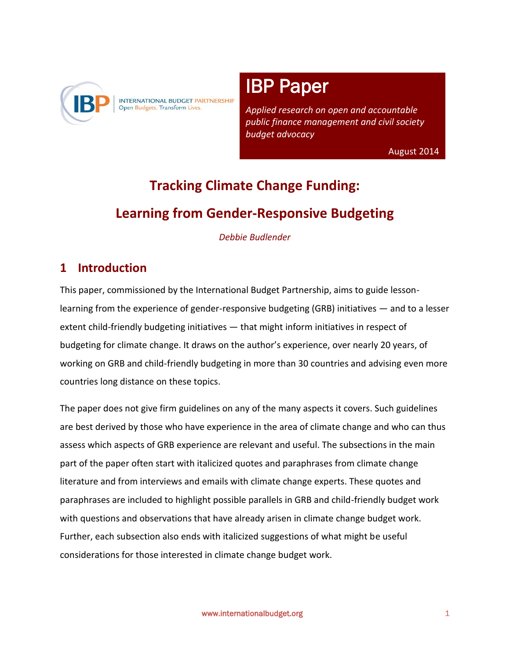

INTERNATIONAL BUDGET PARTNERSHIP Open Budgets. Transform Lives.

#### į ī IBP Paper

 *Applied research on open and accountable public finance management and civil society budget advocacy* 

August 2014

# **Tracking Climate Change Funding: Learning from Gender-Responsive Budgeting**

i<br>I

l,

*Debbie Budlender* 

# **1 Introduction**

This paper, commissioned by the International Budget Partnership, aims to guide lessonlearning from the experience of gender-responsive budgeting (GRB) initiatives — and to a lesser extent child-friendly budgeting initiatives — that might inform initiatives in respect of budgeting for climate change. It draws on the author's experience, over nearly 20 years, of working on GRB and child-friendly budgeting in more than 30 countries and advising even more countries long distance on these topics.

The paper does not give firm guidelines on any of the many aspects it covers. Such guidelines are best derived by those who have experience in the area of climate change and who can thus assess which aspects of GRB experience are relevant and useful. The subsections in the main part of the paper often start with italicized quotes and paraphrases from climate change literature and from interviews and emails with climate change experts. These quotes and paraphrases are included to highlight possible parallels in GRB and child-friendly budget work with questions and observations that have already arisen in climate change budget work. Further, each subsection also ends with italicized suggestions of what might be useful considerations for those interested in climate change budget work.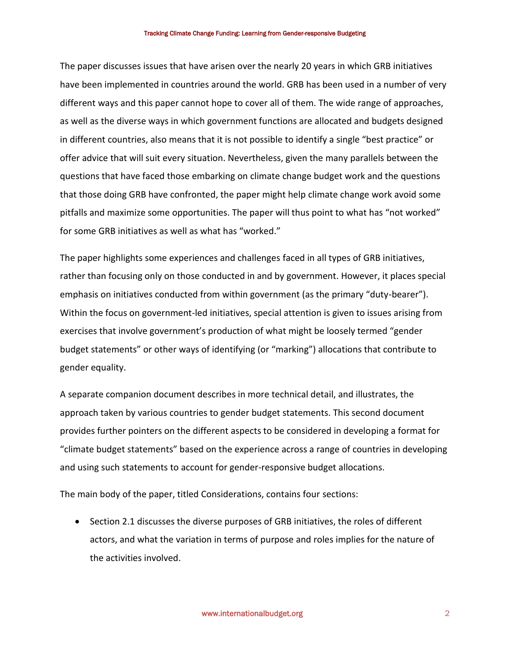The paper discusses issues that have arisen over the nearly 20 years in which GRB initiatives have been implemented in countries around the world. GRB has been used in a number of very different ways and this paper cannot hope to cover all of them. The wide range of approaches, as well as the diverse ways in which government functions are allocated and budgets designed in different countries, also means that it is not possible to identify a single "best practice" or offer advice that will suit every situation. Nevertheless, given the many parallels between the questions that have faced those embarking on climate change budget work and the questions that those doing GRB have confronted, the paper might help climate change work avoid some pitfalls and maximize some opportunities. The paper will thus point to what has "not worked" for some GRB initiatives as well as what has "worked."

The paper highlights some experiences and challenges faced in all types of GRB initiatives, rather than focusing only on those conducted in and by government. However, it places special emphasis on initiatives conducted from within government (as the primary "duty-bearer"). Within the focus on government-led initiatives, special attention is given to issues arising from exercises that involve government's production of what might be loosely termed "gender budget statements" or other ways of identifying (or "marking") allocations that contribute to gender equality.

A separate companion document describes in more technical detail, and illustrates, the approach taken by various countries to gender budget statements. This second document provides further pointers on the different aspects to be considered in developing a format for "climate budget statements" based on the experience across a range of countries in developing and using such statements to account for gender-responsive budget allocations.

The main body of the paper, titled Considerations, contains four sections:

• Section 2.1 discusses the diverse purposes of GRB initiatives, the roles of different actors, and what the variation in terms of purpose and roles implies for the nature of the activities involved.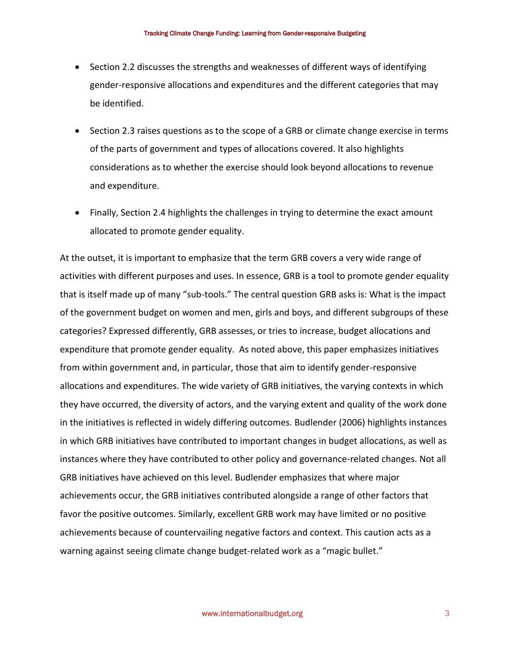- Section 2.2 discusses the strengths and weaknesses of different ways of identifying gender-responsive allocations and expenditures and the different categories that may be identified.
- Section 2.3 raises questions as to the scope of a GRB or climate change exercise in terms of the parts of government and types of allocations covered. It also highlights considerations as to whether the exercise should look beyond allocations to revenue and expenditure.
- Finally, Section 2.4 highlights the challenges in trying to determine the exact amount allocated to promote gender equality.

At the outset, it is important to emphasize that the term GRB covers a very wide range of activities with different purposes and uses. In essence, GRB is a tool to promote gender equality that is itself made up of many "sub-tools." The central question GRB asks is: What is the impact of the government budget on women and men, girls and boys, and different subgroups of these categories? Expressed differently, GRB assesses, or tries to increase, budget allocations and expenditure that promote gender equality. As noted above, this paper emphasizes initiatives from within government and, in particular, those that aim to identify gender-responsive allocations and expenditures. The wide variety of GRB initiatives, the varying contexts in which they have occurred, the diversity of actors, and the varying extent and quality of the work done in the initiatives is reflected in widely differing outcomes. Budlender (2006) highlights instances in which GRB initiatives have contributed to important changes in budget allocations, as well as instances where they have contributed to other policy and governance-related changes. Not all GRB initiatives have achieved on this level. Budlender emphasizes that where major achievements occur, the GRB initiatives contributed alongside a range of other factors that favor the positive outcomes. Similarly, excellent GRB work may have limited or no positive achievements because of countervailing negative factors and context. This caution acts as a warning against seeing climate change budget-related work as a "magic bullet."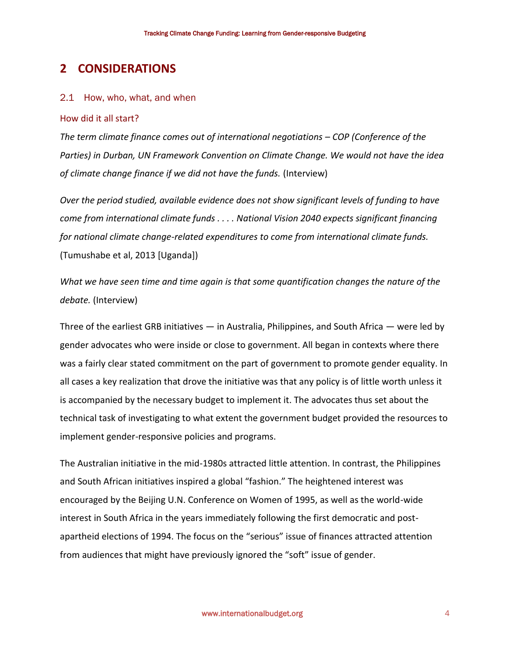# **2 CONSIDERATIONS**

#### 2.1 How, who, what, and when

#### How did it all start?

*The term climate finance comes out of international negotiations – COP (Conference of the Parties) in Durban, UN Framework Convention on Climate Change. We would not have the idea of climate change finance if we did not have the funds.* (Interview)

*Over the period studied, available evidence does not show significant levels of funding to have come from international climate funds . . . . National Vision 2040 expects significant financing for national climate change-related expenditures to come from international climate funds.* (Tumushabe et al, 2013 [Uganda])

*What we have seen time and time again is that some quantification changes the nature of the debate.* (Interview)

Three of the earliest GRB initiatives — in Australia, Philippines, and South Africa — were led by gender advocates who were inside or close to government. All began in contexts where there was a fairly clear stated commitment on the part of government to promote gender equality. In all cases a key realization that drove the initiative was that any policy is of little worth unless it is accompanied by the necessary budget to implement it. The advocates thus set about the technical task of investigating to what extent the government budget provided the resources to implement gender-responsive policies and programs.

The Australian initiative in the mid-1980s attracted little attention. In contrast, the Philippines and South African initiatives inspired a global "fashion." The heightened interest was encouraged by the Beijing U.N. Conference on Women of 1995, as well as the world-wide interest in South Africa in the years immediately following the first democratic and postapartheid elections of 1994. The focus on the "serious" issue of finances attracted attention from audiences that might have previously ignored the "soft" issue of gender.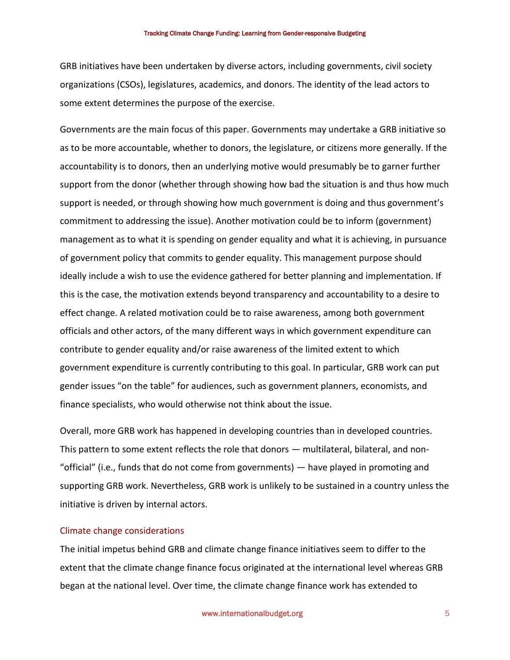GRB initiatives have been undertaken by diverse actors, including governments, civil society organizations (CSOs), legislatures, academics, and donors. The identity of the lead actors to some extent determines the purpose of the exercise.

Governments are the main focus of this paper. Governments may undertake a GRB initiative so as to be more accountable, whether to donors, the legislature, or citizens more generally. If the accountability is to donors, then an underlying motive would presumably be to garner further support from the donor (whether through showing how bad the situation is and thus how much support is needed, or through showing how much government is doing and thus government's commitment to addressing the issue). Another motivation could be to inform (government) management as to what it is spending on gender equality and what it is achieving, in pursuance of government policy that commits to gender equality. This management purpose should ideally include a wish to use the evidence gathered for better planning and implementation. If this is the case, the motivation extends beyond transparency and accountability to a desire to effect change. A related motivation could be to raise awareness, among both government officials and other actors, of the many different ways in which government expenditure can contribute to gender equality and/or raise awareness of the limited extent to which government expenditure is currently contributing to this goal. In particular, GRB work can put gender issues "on the table" for audiences, such as government planners, economists, and finance specialists, who would otherwise not think about the issue.

Overall, more GRB work has happened in developing countries than in developed countries. This pattern to some extent reflects the role that donors — multilateral, bilateral, and non- "official" (i.e., funds that do not come from governments) — have played in promoting and supporting GRB work. Nevertheless, GRB work is unlikely to be sustained in a country unless the initiative is driven by internal actors.

#### Climate change considerations

The initial impetus behind GRB and climate change finance initiatives seem to differ to the extent that the climate change finance focus originated at the international level whereas GRB began at the national level. Over time, the climate change finance work has extended to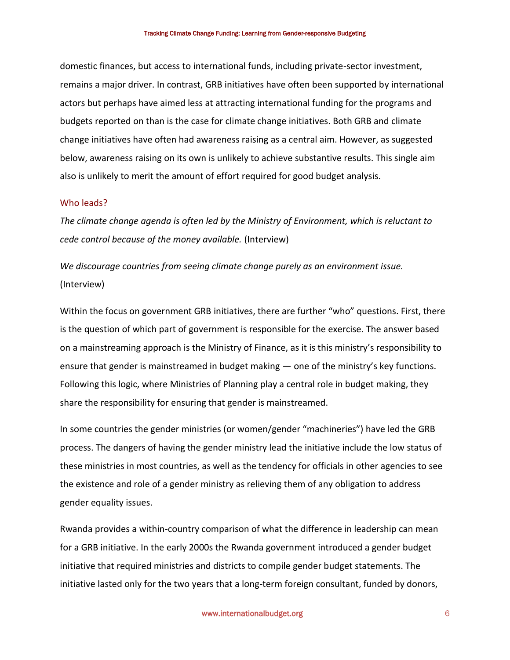domestic finances, but access to international funds, including private-sector investment, remains a major driver. In contrast, GRB initiatives have often been supported by international actors but perhaps have aimed less at attracting international funding for the programs and budgets reported on than is the case for climate change initiatives. Both GRB and climate change initiatives have often had awareness raising as a central aim. However, as suggested below, awareness raising on its own is unlikely to achieve substantive results. This single aim also is unlikely to merit the amount of effort required for good budget analysis.

#### Who leads?

*The climate change agenda is often led by the Ministry of Environment, which is reluctant to cede control because of the money available.* (Interview)

*We discourage countries from seeing climate change purely as an environment issue.* (Interview)

Within the focus on government GRB initiatives, there are further "who" questions. First, there is the question of which part of government is responsible for the exercise. The answer based on a mainstreaming approach is the Ministry of Finance, as it is this ministry's responsibility to ensure that gender is mainstreamed in budget making — one of the ministry's key functions. Following this logic, where Ministries of Planning play a central role in budget making, they share the responsibility for ensuring that gender is mainstreamed.

In some countries the gender ministries (or women/gender "machineries") have led the GRB process. The dangers of having the gender ministry lead the initiative include the low status of these ministries in most countries, as well as the tendency for officials in other agencies to see the existence and role of a gender ministry as relieving them of any obligation to address gender equality issues.

Rwanda provides a within-country comparison of what the difference in leadership can mean for a GRB initiative. In the early 2000s the Rwanda government introduced a gender budget initiative that required ministries and districts to compile gender budget statements. The initiative lasted only for the two years that a long-term foreign consultant, funded by donors,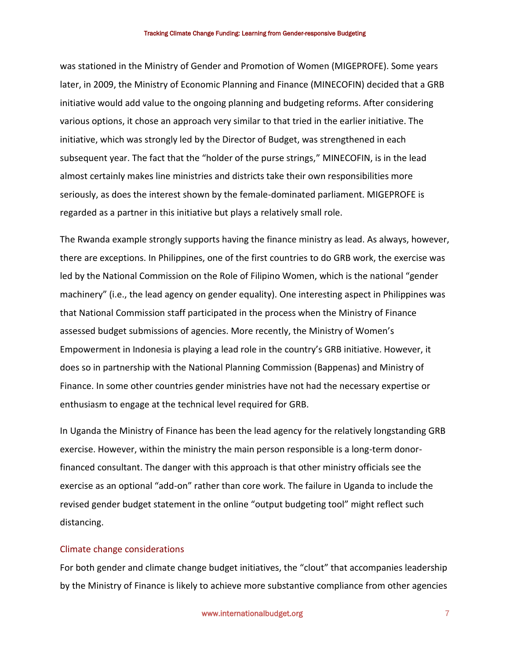was stationed in the Ministry of Gender and Promotion of Women (MIGEPROFE). Some years later, in 2009, the Ministry of Economic Planning and Finance (MINECOFIN) decided that a GRB initiative would add value to the ongoing planning and budgeting reforms. After considering various options, it chose an approach very similar to that tried in the earlier initiative. The initiative, which was strongly led by the Director of Budget, was strengthened in each subsequent year. The fact that the "holder of the purse strings," MINECOFIN, is in the lead almost certainly makes line ministries and districts take their own responsibilities more seriously, as does the interest shown by the female-dominated parliament. MIGEPROFE is regarded as a partner in this initiative but plays a relatively small role.

The Rwanda example strongly supports having the finance ministry as lead. As always, however, there are exceptions. In Philippines, one of the first countries to do GRB work, the exercise was led by the National Commission on the Role of Filipino Women, which is the national "gender machinery" (i.e., the lead agency on gender equality). One interesting aspect in Philippines was that National Commission staff participated in the process when the Ministry of Finance assessed budget submissions of agencies. More recently, the Ministry of Women's Empowerment in Indonesia is playing a lead role in the country's GRB initiative. However, it does so in partnership with the National Planning Commission (Bappenas) and Ministry of Finance. In some other countries gender ministries have not had the necessary expertise or enthusiasm to engage at the technical level required for GRB.

In Uganda the Ministry of Finance has been the lead agency for the relatively longstanding GRB exercise. However, within the ministry the main person responsible is a long-term donorfinanced consultant. The danger with this approach is that other ministry officials see the exercise as an optional "add-on" rather than core work. The failure in Uganda to include the revised gender budget statement in the online "output budgeting tool" might reflect such distancing.

#### Climate change considerations

For both gender and climate change budget initiatives, the "clout" that accompanies leadership by the Ministry of Finance is likely to achieve more substantive compliance from other agencies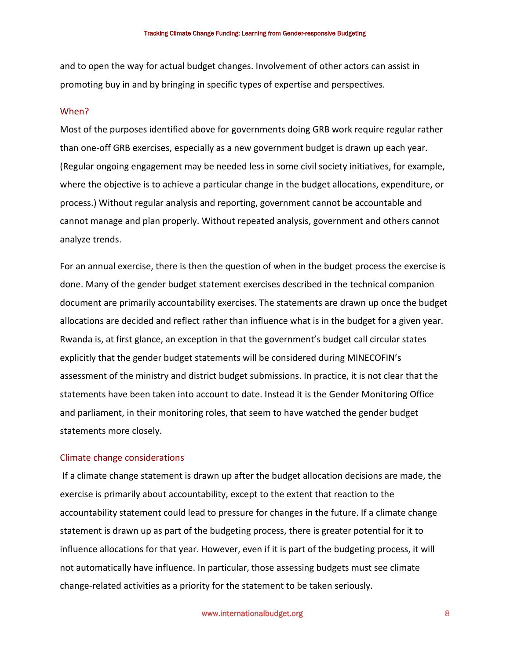and to open the way for actual budget changes. Involvement of other actors can assist in promoting buy in and by bringing in specific types of expertise and perspectives.

#### When?

Most of the purposes identified above for governments doing GRB work require regular rather than one-off GRB exercises, especially as a new government budget is drawn up each year. (Regular ongoing engagement may be needed less in some civil society initiatives, for example, where the objective is to achieve a particular change in the budget allocations, expenditure, or process.) Without regular analysis and reporting, government cannot be accountable and cannot manage and plan properly. Without repeated analysis, government and others cannot analyze trends.

For an annual exercise, there is then the question of when in the budget process the exercise is done. Many of the gender budget statement exercises described in the technical companion document are primarily accountability exercises. The statements are drawn up once the budget allocations are decided and reflect rather than influence what is in the budget for a given year. Rwanda is, at first glance, an exception in that the government's budget call circular states explicitly that the gender budget statements will be considered during MINECOFIN's assessment of the ministry and district budget submissions. In practice, it is not clear that the statements have been taken into account to date. Instead it is the Gender Monitoring Office and parliament, in their monitoring roles, that seem to have watched the gender budget statements more closely.

#### Climate change considerations

 If a climate change statement is drawn up after the budget allocation decisions are made, the exercise is primarily about accountability, except to the extent that reaction to the accountability statement could lead to pressure for changes in the future. If a climate change statement is drawn up as part of the budgeting process, there is greater potential for it to influence allocations for that year. However, even if it is part of the budgeting process, it will not automatically have influence. In particular, those assessing budgets must see climate change-related activities as a priority for the statement to be taken seriously.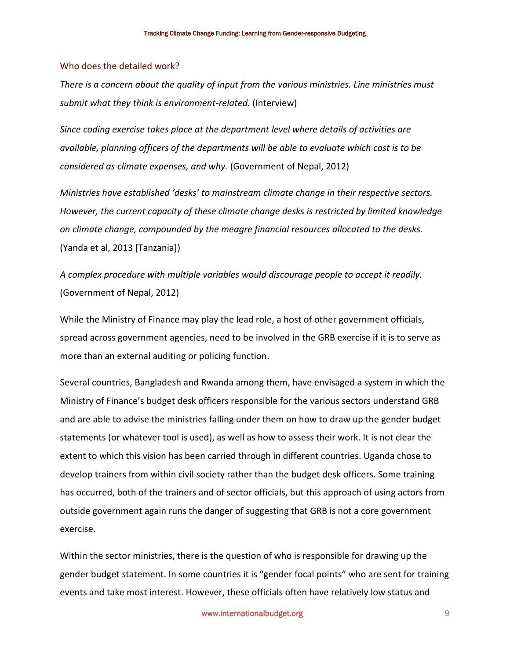#### Who does the detailed work?

*There is a concern about the quality of input from the various ministries. Line ministries must submit what they think is environment-related.* (Interview)

*Since coding exercise takes place at the department level where details of activities are available, planning officers of the departments will be able to evaluate which cost is to be considered as climate expenses, and why.* (Government of Nepal, 2012)

*Ministries have established 'desks' to mainstream climate change in their respective sectors. However, the current capacity of these climate change desks is restricted by limited knowledge on climate change, compounded by the meagre financial resources allocated to the desks.*  (Yanda et al, 2013 [Tanzania])

*A complex procedure with multiple variables would discourage people to accept it readily.*  (Government of Nepal, 2012)

While the Ministry of Finance may play the lead role, a host of other government officials, spread across government agencies, need to be involved in the GRB exercise if it is to serve as more than an external auditing or policing function.

Several countries, Bangladesh and Rwanda among them, have envisaged a system in which the Ministry of Finance's budget desk officers responsible for the various sectors understand GRB and are able to advise the ministries falling under them on how to draw up the gender budget statements (or whatever tool is used), as well as how to assess their work. It is not clear the extent to which this vision has been carried through in different countries. Uganda chose to develop trainers from within civil society rather than the budget desk officers. Some training has occurred, both of the trainers and of sector officials, but this approach of using actors from outside government again runs the danger of suggesting that GRB is not a core government exercise.

Within the sector ministries, there is the question of who is responsible for drawing up the gender budget statement. In some countries it is "gender focal points" who are sent for training events and take most interest. However, these officials often have relatively low status and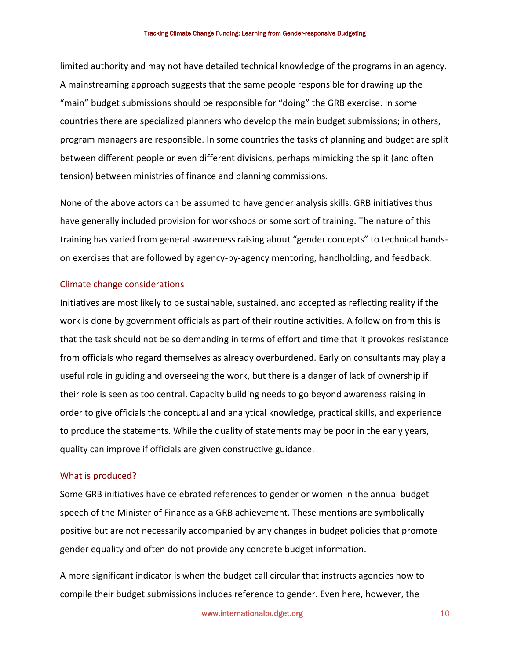limited authority and may not have detailed technical knowledge of the programs in an agency. A mainstreaming approach suggests that the same people responsible for drawing up the "main" budget submissions should be responsible for "doing" the GRB exercise. In some countries there are specialized planners who develop the main budget submissions; in others, program managers are responsible. In some countries the tasks of planning and budget are split between different people or even different divisions, perhaps mimicking the split (and often tension) between ministries of finance and planning commissions.

None of the above actors can be assumed to have gender analysis skills. GRB initiatives thus have generally included provision for workshops or some sort of training. The nature of this training has varied from general awareness raising about "gender concepts" to technical handson exercises that are followed by agency-by-agency mentoring, handholding, and feedback.

#### Climate change considerations

Initiatives are most likely to be sustainable, sustained, and accepted as reflecting reality if the work is done by government officials as part of their routine activities. A follow on from this is that the task should not be so demanding in terms of effort and time that it provokes resistance from officials who regard themselves as already overburdened. Early on consultants may play a useful role in guiding and overseeing the work, but there is a danger of lack of ownership if their role is seen as too central. Capacity building needs to go beyond awareness raising in order to give officials the conceptual and analytical knowledge, practical skills, and experience to produce the statements. While the quality of statements may be poor in the early years, quality can improve if officials are given constructive guidance.

#### What is produced?

Some GRB initiatives have celebrated references to gender or women in the annual budget speech of the Minister of Finance as a GRB achievement. These mentions are symbolically positive but are not necessarily accompanied by any changes in budget policies that promote gender equality and often do not provide any concrete budget information.

A more significant indicator is when the budget call circular that instructs agencies how to compile their budget submissions includes reference to gender. Even here, however, the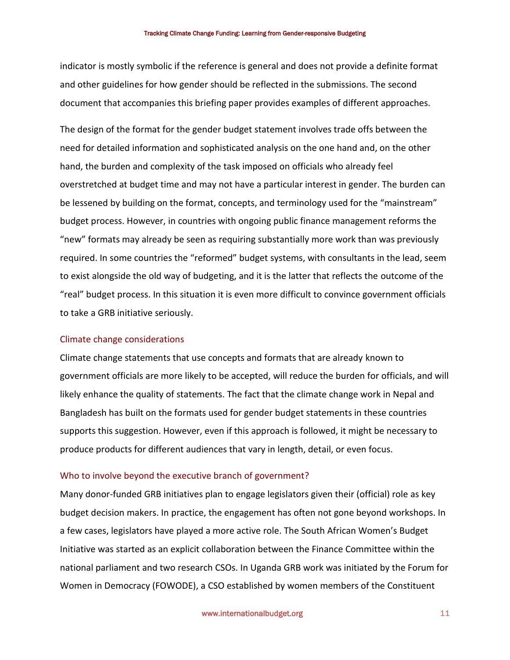indicator is mostly symbolic if the reference is general and does not provide a definite format and other guidelines for how gender should be reflected in the submissions. The second document that accompanies this briefing paper provides examples of different approaches.

The design of the format for the gender budget statement involves trade offs between the need for detailed information and sophisticated analysis on the one hand and, on the other hand, the burden and complexity of the task imposed on officials who already feel overstretched at budget time and may not have a particular interest in gender. The burden can be lessened by building on the format, concepts, and terminology used for the "mainstream" budget process. However, in countries with ongoing public finance management reforms the "new" formats may already be seen as requiring substantially more work than was previously required. In some countries the "reformed" budget systems, with consultants in the lead, seem to exist alongside the old way of budgeting, and it is the latter that reflects the outcome of the "real" budget process. In this situation it is even more difficult to convince government officials to take a GRB initiative seriously.

#### Climate change considerations

Climate change statements that use concepts and formats that are already known to government officials are more likely to be accepted, will reduce the burden for officials, and will likely enhance the quality of statements. The fact that the climate change work in Nepal and Bangladesh has built on the formats used for gender budget statements in these countries supports this suggestion. However, even if this approach is followed, it might be necessary to produce products for different audiences that vary in length, detail, or even focus.

#### Who to involve beyond the executive branch of government?

Many donor-funded GRB initiatives plan to engage legislators given their (official) role as key budget decision makers. In practice, the engagement has often not gone beyond workshops. In a few cases, legislators have played a more active role. The South African Women's Budget Initiative was started as an explicit collaboration between the Finance Committee within the national parliament and two research CSOs. In Uganda GRB work was initiated by the Forum for Women in Democracy (FOWODE), a CSO established by women members of the Constituent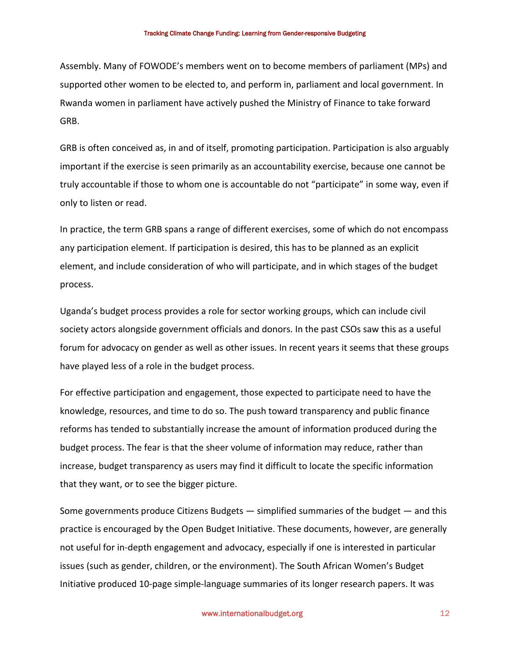Assembly. Many of FOWODE's members went on to become members of parliament (MPs) and supported other women to be elected to, and perform in, parliament and local government. In Rwanda women in parliament have actively pushed the Ministry of Finance to take forward GRB.

GRB is often conceived as, in and of itself, promoting participation. Participation is also arguably important if the exercise is seen primarily as an accountability exercise, because one cannot be truly accountable if those to whom one is accountable do not "participate" in some way, even if only to listen or read.

In practice, the term GRB spans a range of different exercises, some of which do not encompass any participation element. If participation is desired, this has to be planned as an explicit element, and include consideration of who will participate, and in which stages of the budget process.

Uganda's budget process provides a role for sector working groups, which can include civil society actors alongside government officials and donors. In the past CSOs saw this as a useful forum for advocacy on gender as well as other issues. In recent years it seems that these groups have played less of a role in the budget process.

For effective participation and engagement, those expected to participate need to have the knowledge, resources, and time to do so. The push toward transparency and public finance reforms has tended to substantially increase the amount of information produced during the budget process. The fear is that the sheer volume of information may reduce, rather than increase, budget transparency as users may find it difficult to locate the specific information that they want, or to see the bigger picture.

Some governments produce Citizens Budgets — simplified summaries of the budget — and this practice is encouraged by the Open Budget Initiative. These documents, however, are generally not useful for in-depth engagement and advocacy, especially if one is interested in particular issues (such as gender, children, or the environment). The South African Women's Budget Initiative produced 10-page simple-language summaries of its longer research papers. It was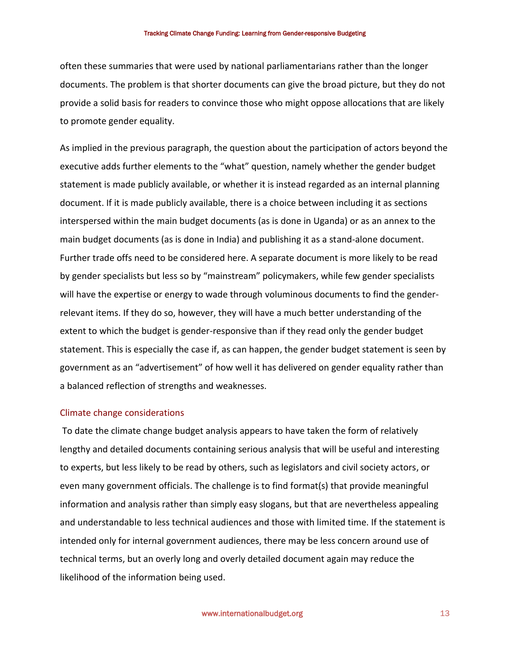often these summaries that were used by national parliamentarians rather than the longer documents. The problem is that shorter documents can give the broad picture, but they do not provide a solid basis for readers to convince those who might oppose allocations that are likely to promote gender equality.

As implied in the previous paragraph, the question about the participation of actors beyond the executive adds further elements to the "what" question, namely whether the gender budget statement is made publicly available, or whether it is instead regarded as an internal planning document. If it is made publicly available, there is a choice between including it as sections interspersed within the main budget documents (as is done in Uganda) or as an annex to the main budget documents (as is done in India) and publishing it as a stand-alone document. Further trade offs need to be considered here. A separate document is more likely to be read by gender specialists but less so by "mainstream" policymakers, while few gender specialists will have the expertise or energy to wade through voluminous documents to find the genderrelevant items. If they do so, however, they will have a much better understanding of the extent to which the budget is gender-responsive than if they read only the gender budget statement. This is especially the case if, as can happen, the gender budget statement is seen by government as an "advertisement" of how well it has delivered on gender equality rather than a balanced reflection of strengths and weaknesses.

#### Climate change considerations

 To date the climate change budget analysis appears to have taken the form of relatively lengthy and detailed documents containing serious analysis that will be useful and interesting to experts, but less likely to be read by others, such as legislators and civil society actors, or even many government officials. The challenge is to find format(s) that provide meaningful information and analysis rather than simply easy slogans, but that are nevertheless appealing and understandable to less technical audiences and those with limited time. If the statement is intended only for internal government audiences, there may be less concern around use of technical terms, but an overly long and overly detailed document again may reduce the likelihood of the information being used.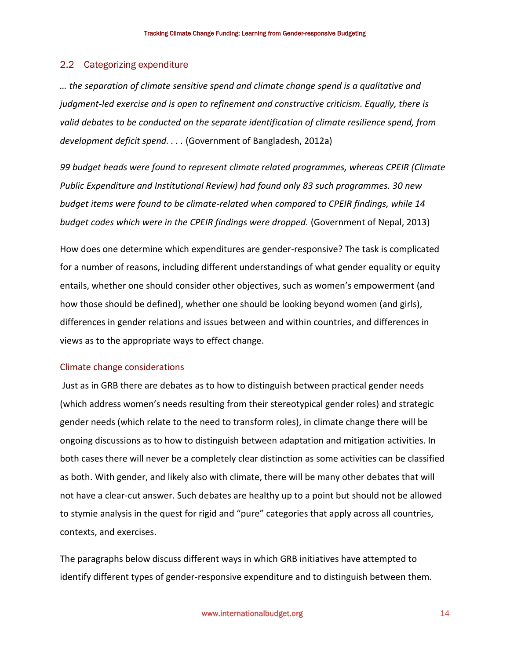#### 2.2 Categorizing expenditure

*… the separation of climate sensitive spend and climate change spend is a qualitative and judgment-led exercise and is open to refinement and constructive criticism. Equally, there is valid debates to be conducted on the separate identification of climate resilience spend, from development deficit spend. . . .* (Government of Bangladesh, 2012a)

*99 budget heads were found to represent climate related programmes, whereas CPEIR (Climate Public Expenditure and Institutional Review) had found only 83 such programmes. 30 new budget items were found to be climate-related when compared to CPEIR findings, while 14 budget codes which were in the CPEIR findings were dropped.* (Government of Nepal, 2013)

How does one determine which expenditures are gender-responsive? The task is complicated for a number of reasons, including different understandings of what gender equality or equity entails, whether one should consider other objectives, such as women's empowerment (and how those should be defined), whether one should be looking beyond women (and girls), differences in gender relations and issues between and within countries, and differences in views as to the appropriate ways to effect change.

#### Climate change considerations

 Just as in GRB there are debates as to how to distinguish between practical gender needs (which address women's needs resulting from their stereotypical gender roles) and strategic gender needs (which relate to the need to transform roles), in climate change there will be ongoing discussions as to how to distinguish between adaptation and mitigation activities. In both cases there will never be a completely clear distinction as some activities can be classified as both. With gender, and likely also with climate, there will be many other debates that will not have a clear-cut answer. Such debates are healthy up to a point but should not be allowed to stymie analysis in the quest for rigid and "pure" categories that apply across all countries, contexts, and exercises.

The paragraphs below discuss different ways in which GRB initiatives have attempted to identify different types of gender-responsive expenditure and to distinguish between them.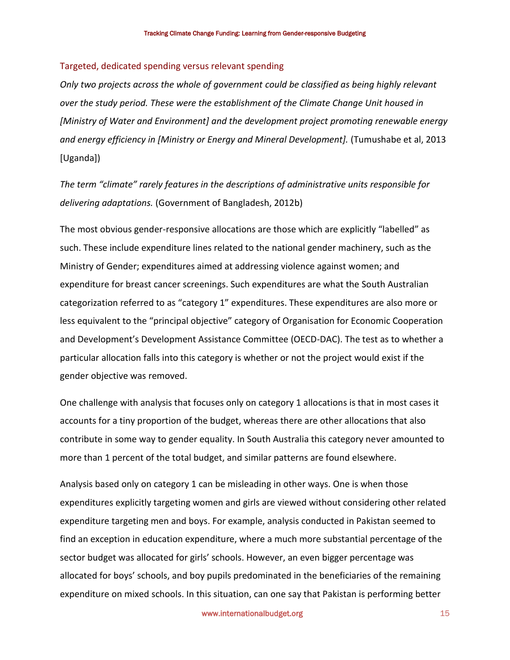#### Targeted, dedicated spending versus relevant spending

*Only two projects across the whole of government could be classified as being highly relevant over the study period. These were the establishment of the Climate Change Unit housed in [Ministry of Water and Environment] and the development project promoting renewable energy and energy efficiency in [Ministry or Energy and Mineral Development].* (Tumushabe et al, 2013 [Uganda])

*The term "climate" rarely features in the descriptions of administrative units responsible for delivering adaptations.* (Government of Bangladesh, 2012b)

The most obvious gender-responsive allocations are those which are explicitly "labelled" as such. These include expenditure lines related to the national gender machinery, such as the Ministry of Gender; expenditures aimed at addressing violence against women; and expenditure for breast cancer screenings. Such expenditures are what the South Australian categorization referred to as "category 1" expenditures. These expenditures are also more or less equivalent to the "principal objective" category of Organisation for Economic Cooperation and Development's Development Assistance Committee (OECD-DAC). The test as to whether a particular allocation falls into this category is whether or not the project would exist if the gender objective was removed.

One challenge with analysis that focuses only on category 1 allocations is that in most cases it accounts for a tiny proportion of the budget, whereas there are other allocations that also contribute in some way to gender equality. In South Australia this category never amounted to more than 1 percent of the total budget, and similar patterns are found elsewhere.

Analysis based only on category 1 can be misleading in other ways. One is when those expenditures explicitly targeting women and girls are viewed without considering other related expenditure targeting men and boys. For example, analysis conducted in Pakistan seemed to find an exception in education expenditure, where a much more substantial percentage of the sector budget was allocated for girls' schools. However, an even bigger percentage was allocated for boys' schools, and boy pupils predominated in the beneficiaries of the remaining expenditure on mixed schools. In this situation, can one say that Pakistan is performing better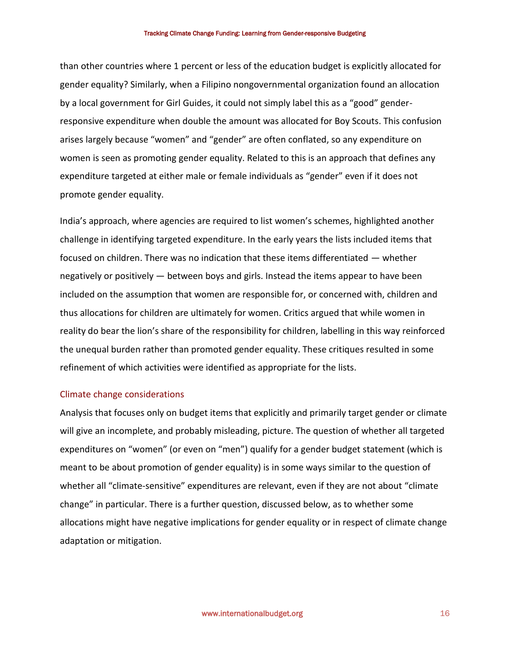than other countries where 1 percent or less of the education budget is explicitly allocated for gender equality? Similarly, when a Filipino nongovernmental organization found an allocation by a local government for Girl Guides, it could not simply label this as a "good" genderresponsive expenditure when double the amount was allocated for Boy Scouts. This confusion arises largely because "women" and "gender" are often conflated, so any expenditure on women is seen as promoting gender equality. Related to this is an approach that defines any expenditure targeted at either male or female individuals as "gender" even if it does not promote gender equality.

India's approach, where agencies are required to list women's schemes, highlighted another challenge in identifying targeted expenditure. In the early years the lists included items that focused on children. There was no indication that these items differentiated — whether negatively or positively — between boys and girls. Instead the items appear to have been included on the assumption that women are responsible for, or concerned with, children and thus allocations for children are ultimately for women. Critics argued that while women in reality do bear the lion's share of the responsibility for children, labelling in this way reinforced the unequal burden rather than promoted gender equality. These critiques resulted in some refinement of which activities were identified as appropriate for the lists.

#### Climate change considerations

Analysis that focuses only on budget items that explicitly and primarily target gender or climate will give an incomplete, and probably misleading, picture. The question of whether all targeted expenditures on "women" (or even on "men") qualify for a gender budget statement (which is meant to be about promotion of gender equality) is in some ways similar to the question of whether all "climate-sensitive" expenditures are relevant, even if they are not about "climate change" in particular. There is a further question, discussed below, as to whether some allocations might have negative implications for gender equality or in respect of climate change adaptation or mitigation.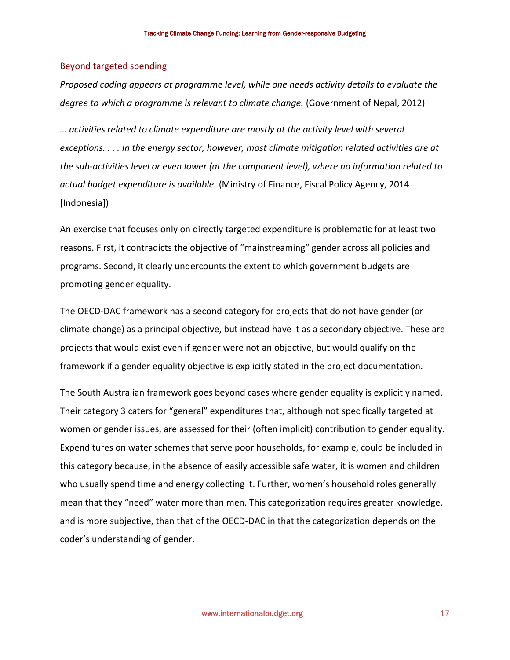#### Beyond targeted spending

*Proposed coding appears at programme level, while one needs activity details to evaluate the degree to which a programme is relevant to climate change.* (Government of Nepal, 2012)

*… activities related to climate expenditure are mostly at the activity level with several exceptions. . . . In the energy sector, however, most climate mitigation related activities are at the sub-activities level or even lower (at the component level), where no information related to actual budget expenditure is available.* (Ministry of Finance, Fiscal Policy Agency, 2014 [Indonesia])

An exercise that focuses only on directly targeted expenditure is problematic for at least two reasons. First, it contradicts the objective of "mainstreaming" gender across all policies and programs. Second, it clearly undercounts the extent to which government budgets are promoting gender equality.

The OECD-DAC framework has a second category for projects that do not have gender (or climate change) as a principal objective, but instead have it as a secondary objective. These are projects that would exist even if gender were not an objective, but would qualify on the framework if a gender equality objective is explicitly stated in the project documentation.

The South Australian framework goes beyond cases where gender equality is explicitly named. Their category 3 caters for "general" expenditures that, although not specifically targeted at women or gender issues, are assessed for their (often implicit) contribution to gender equality. Expenditures on water schemes that serve poor households, for example, could be included in this category because, in the absence of easily accessible safe water, it is women and children who usually spend time and energy collecting it. Further, women's household roles generally mean that they "need" water more than men. This categorization requires greater knowledge, and is more subjective, than that of the OECD-DAC in that the categorization depends on the coder's understanding of gender.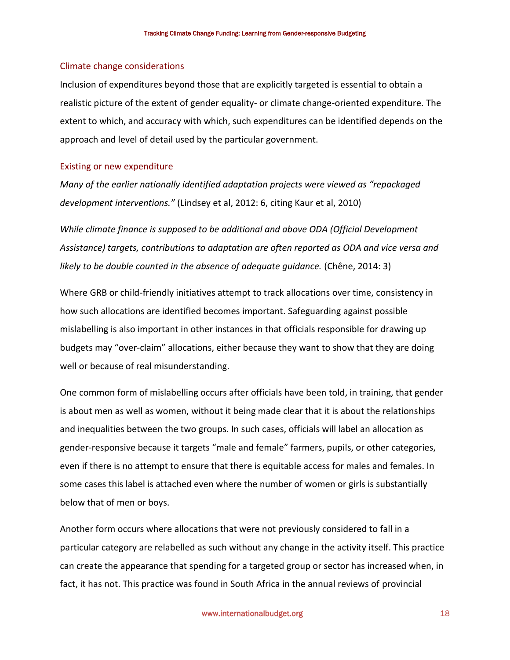#### Climate change considerations

Inclusion of expenditures beyond those that are explicitly targeted is essential to obtain a realistic picture of the extent of gender equality- or climate change-oriented expenditure. The extent to which, and accuracy with which, such expenditures can be identified depends on the approach and level of detail used by the particular government.

#### Existing or new expenditure

*Many of the earlier nationally identified adaptation projects were viewed as "repackaged development interventions."* (Lindsey et al, 2012: 6, citing Kaur et al, 2010)

*While climate finance is supposed to be additional and above ODA (Official Development Assistance) targets, contributions to adaptation are often reported as ODA and vice versa and likely to be double counted in the absence of adequate quidance.* (Chêne, 2014: 3)

Where GRB or child-friendly initiatives attempt to track allocations over time, consistency in how such allocations are identified becomes important. Safeguarding against possible mislabelling is also important in other instances in that officials responsible for drawing up budgets may "over-claim" allocations, either because they want to show that they are doing well or because of real misunderstanding.

One common form of mislabelling occurs after officials have been told, in training, that gender is about men as well as women, without it being made clear that it is about the relationships and inequalities between the two groups. In such cases, officials will label an allocation as gender-responsive because it targets "male and female" farmers, pupils, or other categories, even if there is no attempt to ensure that there is equitable access for males and females. In some cases this label is attached even where the number of women or girls is substantially below that of men or boys.

Another form occurs where allocations that were not previously considered to fall in a particular category are relabelled as such without any change in the activity itself. This practice can create the appearance that spending for a targeted group or sector has increased when, in fact, it has not. This practice was found in South Africa in the annual reviews of provincial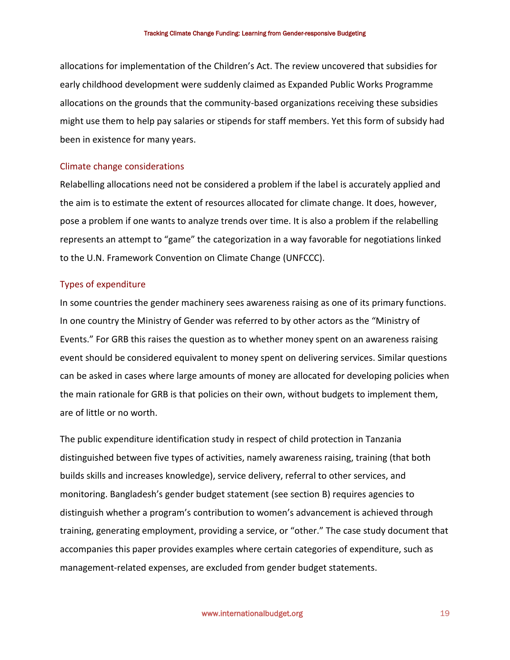allocations for implementation of the Children's Act. The review uncovered that subsidies for early childhood development were suddenly claimed as Expanded Public Works Programme allocations on the grounds that the community-based organizations receiving these subsidies might use them to help pay salaries or stipends for staff members. Yet this form of subsidy had been in existence for many years.

#### Climate change considerations

Relabelling allocations need not be considered a problem if the label is accurately applied and the aim is to estimate the extent of resources allocated for climate change. It does, however, pose a problem if one wants to analyze trends over time. It is also a problem if the relabelling represents an attempt to "game" the categorization in a way favorable for negotiations linked to the U.N. Framework Convention on Climate Change (UNFCCC).

### Types of expenditure

In some countries the gender machinery sees awareness raising as one of its primary functions. In one country the Ministry of Gender was referred to by other actors as the "Ministry of Events." For GRB this raises the question as to whether money spent on an awareness raising event should be considered equivalent to money spent on delivering services. Similar questions can be asked in cases where large amounts of money are allocated for developing policies when the main rationale for GRB is that policies on their own, without budgets to implement them, are of little or no worth.

The public expenditure identification study in respect of child protection in Tanzania distinguished between five types of activities, namely awareness raising, training (that both builds skills and increases knowledge), service delivery, referral to other services, and monitoring. Bangladesh's gender budget statement (see section B) requires agencies to distinguish whether a program's contribution to women's advancement is achieved through training, generating employment, providing a service, or "other." The case study document that accompanies this paper provides examples where certain categories of expenditure, such as management-related expenses, are excluded from gender budget statements.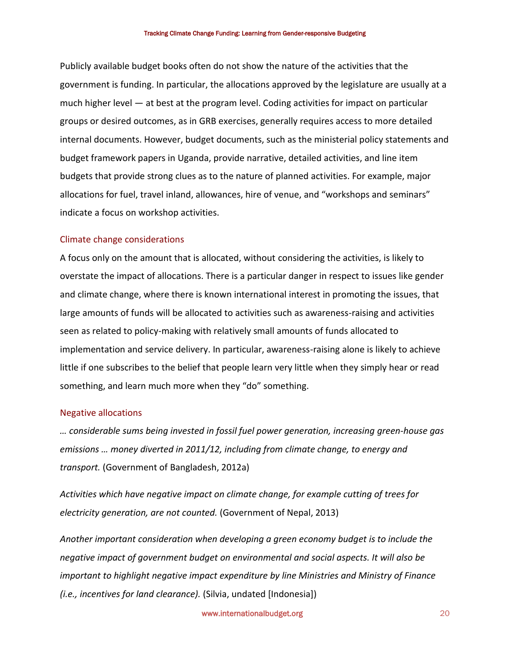Publicly available budget books often do not show the nature of the activities that the government is funding. In particular, the allocations approved by the legislature are usually at a much higher level — at best at the program level. Coding activities for impact on particular groups or desired outcomes, as in GRB exercises, generally requires access to more detailed internal documents. However, budget documents, such as the ministerial policy statements and budget framework papers in Uganda, provide narrative, detailed activities, and line item budgets that provide strong clues as to the nature of planned activities. For example, major allocations for fuel, travel inland, allowances, hire of venue, and "workshops and seminars" indicate a focus on workshop activities.

#### Climate change considerations

A focus only on the amount that is allocated, without considering the activities, is likely to overstate the impact of allocations. There is a particular danger in respect to issues like gender and climate change, where there is known international interest in promoting the issues, that large amounts of funds will be allocated to activities such as awareness-raising and activities seen as related to policy-making with relatively small amounts of funds allocated to implementation and service delivery. In particular, awareness-raising alone is likely to achieve little if one subscribes to the belief that people learn very little when they simply hear or read something, and learn much more when they "do" something.

#### Negative allocations

*… considerable sums being invested in fossil fuel power generation, increasing green-house gas emissions … money diverted in 2011/12, including from climate change, to energy and transport.* (Government of Bangladesh, 2012a)

*Activities which have negative impact on climate change, for example cutting of trees for electricity generation, are not counted.* (Government of Nepal, 2013)

*Another important consideration when developing a green economy budget is to include the negative impact of government budget on environmental and social aspects. It will also be important to highlight negative impact expenditure by line Ministries and Ministry of Finance (i.e., incentives for land clearance).* (Silvia, undated [Indonesia])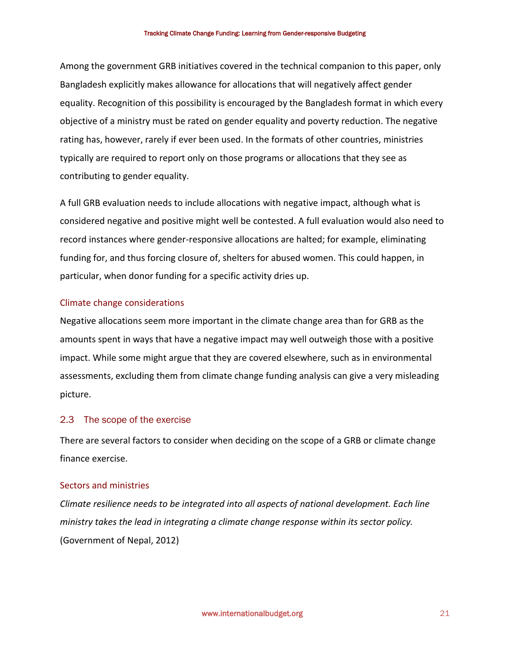Among the government GRB initiatives covered in the technical companion to this paper, only Bangladesh explicitly makes allowance for allocations that will negatively affect gender equality. Recognition of this possibility is encouraged by the Bangladesh format in which every objective of a ministry must be rated on gender equality and poverty reduction. The negative rating has, however, rarely if ever been used. In the formats of other countries, ministries typically are required to report only on those programs or allocations that they see as contributing to gender equality.

A full GRB evaluation needs to include allocations with negative impact, although what is considered negative and positive might well be contested. A full evaluation would also need to record instances where gender-responsive allocations are halted; for example, eliminating funding for, and thus forcing closure of, shelters for abused women. This could happen, in particular, when donor funding for a specific activity dries up.

## Climate change considerations

Negative allocations seem more important in the climate change area than for GRB as the amounts spent in ways that have a negative impact may well outweigh those with a positive impact. While some might argue that they are covered elsewhere, such as in environmental assessments, excluding them from climate change funding analysis can give a very misleading picture.

## 2.3 The scope of the exercise

There are several factors to consider when deciding on the scope of a GRB or climate change finance exercise.

### Sectors and ministries

*Climate resilience needs to be integrated into all aspects of national development. Each line ministry takes the lead in integrating a climate change response within its sector policy.*  (Government of Nepal, 2012)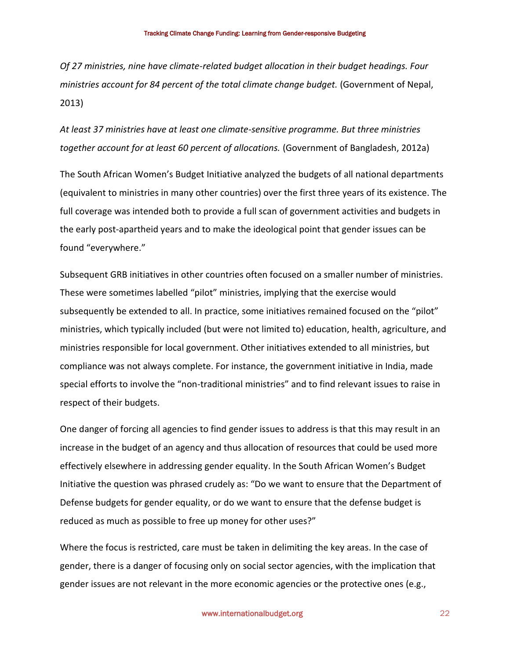*Of 27 ministries, nine have climate-related budget allocation in their budget headings. Four ministries account for 84 percent of the total climate change budget.* (Government of Nepal, 2013)

*At least 37 ministries have at least one climate-sensitive programme. But three ministries together account for at least 60 percent of allocations.* (Government of Bangladesh, 2012a)

The South African Women's Budget Initiative analyzed the budgets of all national departments (equivalent to ministries in many other countries) over the first three years of its existence. The full coverage was intended both to provide a full scan of government activities and budgets in the early post-apartheid years and to make the ideological point that gender issues can be found "everywhere."

Subsequent GRB initiatives in other countries often focused on a smaller number of ministries. These were sometimes labelled "pilot" ministries, implying that the exercise would subsequently be extended to all. In practice, some initiatives remained focused on the "pilot" ministries, which typically included (but were not limited to) education, health, agriculture, and ministries responsible for local government. Other initiatives extended to all ministries, but compliance was not always complete. For instance, the government initiative in India, made special efforts to involve the "non-traditional ministries" and to find relevant issues to raise in respect of their budgets.

One danger of forcing all agencies to find gender issues to address is that this may result in an increase in the budget of an agency and thus allocation of resources that could be used more effectively elsewhere in addressing gender equality. In the South African Women's Budget Initiative the question was phrased crudely as: "Do we want to ensure that the Department of Defense budgets for gender equality, or do we want to ensure that the defense budget is reduced as much as possible to free up money for other uses?"

Where the focus is restricted, care must be taken in delimiting the key areas. In the case of gender, there is a danger of focusing only on social sector agencies, with the implication that gender issues are not relevant in the more economic agencies or the protective ones (e.g.,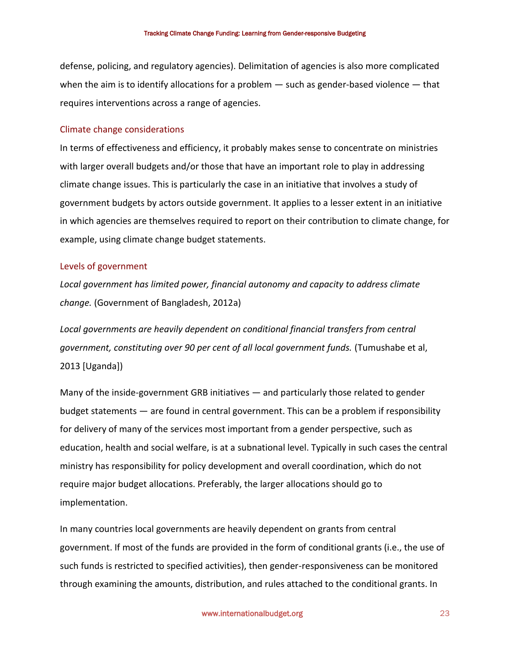defense, policing, and regulatory agencies). Delimitation of agencies is also more complicated when the aim is to identify allocations for a problem — such as gender-based violence — that requires interventions across a range of agencies.

#### Climate change considerations

In terms of effectiveness and efficiency, it probably makes sense to concentrate on ministries with larger overall budgets and/or those that have an important role to play in addressing climate change issues. This is particularly the case in an initiative that involves a study of government budgets by actors outside government. It applies to a lesser extent in an initiative in which agencies are themselves required to report on their contribution to climate change, for example, using climate change budget statements.

#### Levels of government

*Local government has limited power, financial autonomy and capacity to address climate change.* (Government of Bangladesh, 2012a)

*Local governments are heavily dependent on conditional financial transfers from central government, constituting over 90 per cent of all local government funds.* (Tumushabe et al, 2013 [Uganda])

Many of the inside-government GRB initiatives — and particularly those related to gender budget statements — are found in central government. This can be a problem if responsibility for delivery of many of the services most important from a gender perspective, such as education, health and social welfare, is at a subnational level. Typically in such cases the central ministry has responsibility for policy development and overall coordination, which do not require major budget allocations. Preferably, the larger allocations should go to implementation.

In many countries local governments are heavily dependent on grants from central government. If most of the funds are provided in the form of conditional grants (i.e., the use of such funds is restricted to specified activities), then gender-responsiveness can be monitored through examining the amounts, distribution, and rules attached to the conditional grants. In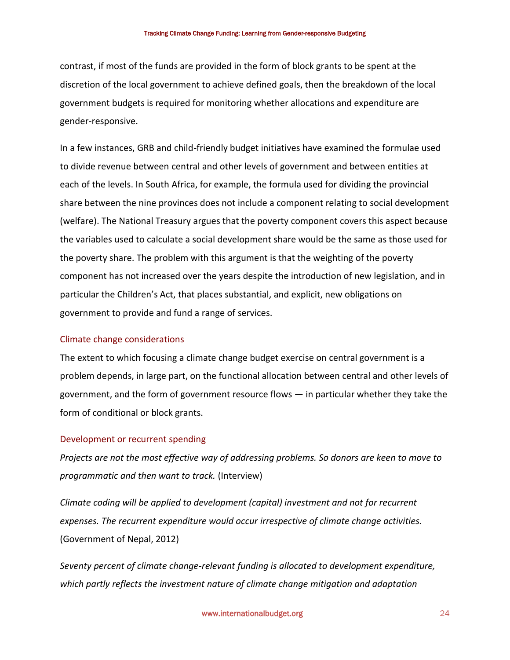contrast, if most of the funds are provided in the form of block grants to be spent at the discretion of the local government to achieve defined goals, then the breakdown of the local government budgets is required for monitoring whether allocations and expenditure are gender-responsive.

In a few instances, GRB and child-friendly budget initiatives have examined the formulae used to divide revenue between central and other levels of government and between entities at each of the levels. In South Africa, for example, the formula used for dividing the provincial share between the nine provinces does not include a component relating to social development (welfare). The National Treasury argues that the poverty component covers this aspect because the variables used to calculate a social development share would be the same as those used for the poverty share. The problem with this argument is that the weighting of the poverty component has not increased over the years despite the introduction of new legislation, and in particular the Children's Act, that places substantial, and explicit, new obligations on government to provide and fund a range of services.

#### Climate change considerations

The extent to which focusing a climate change budget exercise on central government is a problem depends, in large part, on the functional allocation between central and other levels of government, and the form of government resource flows — in particular whether they take the form of conditional or block grants.

### Development or recurrent spending

*Projects are not the most effective way of addressing problems. So donors are keen to move to programmatic and then want to track.* (Interview)

*Climate coding will be applied to development (capital) investment and not for recurrent expenses. The recurrent expenditure would occur irrespective of climate change activities.*  (Government of Nepal, 2012)

*Seventy percent of climate change-relevant funding is allocated to development expenditure, which partly reflects the investment nature of climate change mitigation and adaptation*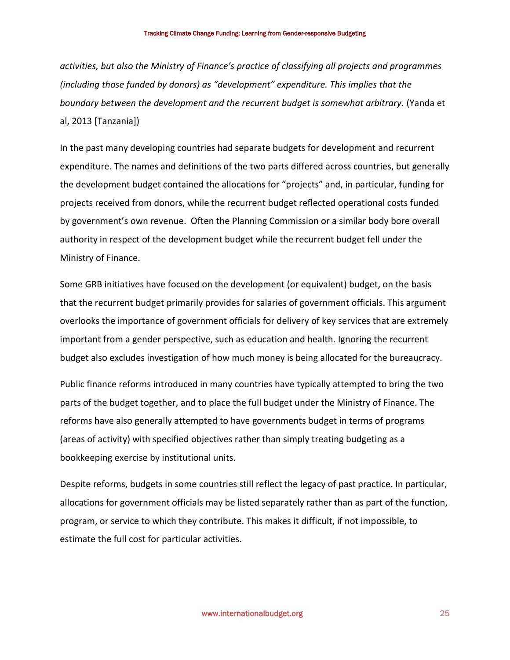*activities, but also the Ministry of Finance's practice of classifying all projects and programmes (including those funded by donors) as "development" expenditure. This implies that the boundary between the development and the recurrent budget is somewhat arbitrary.* (Yanda et al, 2013 [Tanzania])

In the past many developing countries had separate budgets for development and recurrent expenditure. The names and definitions of the two parts differed across countries, but generally the development budget contained the allocations for "projects" and, in particular, funding for projects received from donors, while the recurrent budget reflected operational costs funded by government's own revenue. Often the Planning Commission or a similar body bore overall authority in respect of the development budget while the recurrent budget fell under the Ministry of Finance.

Some GRB initiatives have focused on the development (or equivalent) budget, on the basis that the recurrent budget primarily provides for salaries of government officials. This argument overlooks the importance of government officials for delivery of key services that are extremely important from a gender perspective, such as education and health. Ignoring the recurrent budget also excludes investigation of how much money is being allocated for the bureaucracy.

Public finance reforms introduced in many countries have typically attempted to bring the two parts of the budget together, and to place the full budget under the Ministry of Finance. The reforms have also generally attempted to have governments budget in terms of programs (areas of activity) with specified objectives rather than simply treating budgeting as a bookkeeping exercise by institutional units.

Despite reforms, budgets in some countries still reflect the legacy of past practice. In particular, allocations for government officials may be listed separately rather than as part of the function, program, or service to which they contribute. This makes it difficult, if not impossible, to estimate the full cost for particular activities.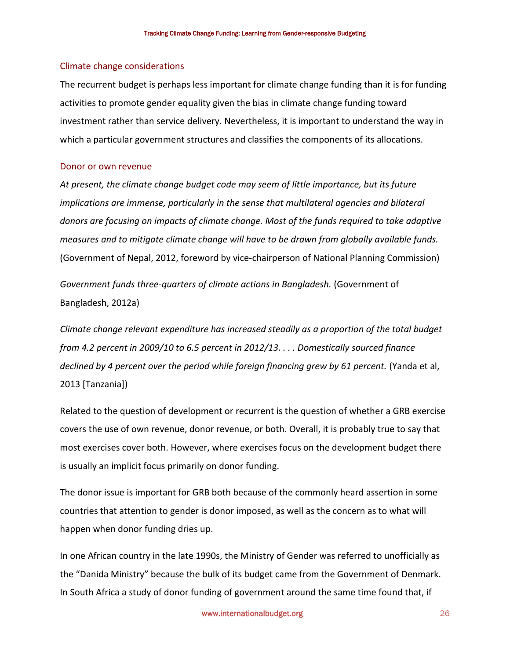#### Climate change considerations

The recurrent budget is perhaps less important for climate change funding than it is for funding activities to promote gender equality given the bias in climate change funding toward investment rather than service delivery. Nevertheless, it is important to understand the way in which a particular government structures and classifies the components of its allocations.

#### Donor or own revenue

*At present, the climate change budget code may seem of little importance, but its future implications are immense, particularly in the sense that multilateral agencies and bilateral donors are focusing on impacts of climate change. Most of the funds required to take adaptive measures and to mitigate climate change will have to be drawn from globally available funds.*  (Government of Nepal, 2012, foreword by vice-chairperson of National Planning Commission)

*Government funds three-quarters of climate actions in Bangladesh.* (Government of Bangladesh, 2012a)

*Climate change relevant expenditure has increased steadily as a proportion of the total budget from 4.2 percent in 2009/10 to 6.5 percent in 2012/13. . . . Domestically sourced finance declined by 4 percent over the period while foreign financing grew by 61 percent.* (Yanda et al, 2013 [Tanzania])

Related to the question of development or recurrent is the question of whether a GRB exercise covers the use of own revenue, donor revenue, or both. Overall, it is probably true to say that most exercises cover both. However, where exercises focus on the development budget there is usually an implicit focus primarily on donor funding.

The donor issue is important for GRB both because of the commonly heard assertion in some countries that attention to gender is donor imposed, as well as the concern as to what will happen when donor funding dries up.

In one African country in the late 1990s, the Ministry of Gender was referred to unofficially as the "Danida Ministry" because the bulk of its budget came from the Government of Denmark. In South Africa a study of donor funding of government around the same time found that, if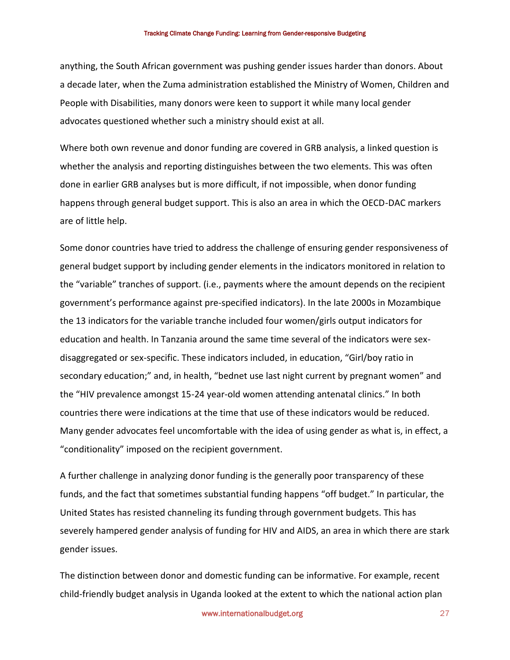anything, the South African government was pushing gender issues harder than donors. About a decade later, when the Zuma administration established the Ministry of Women, Children and People with Disabilities, many donors were keen to support it while many local gender advocates questioned whether such a ministry should exist at all.

Where both own revenue and donor funding are covered in GRB analysis, a linked question is whether the analysis and reporting distinguishes between the two elements. This was often done in earlier GRB analyses but is more difficult, if not impossible, when donor funding happens through general budget support. This is also an area in which the OECD-DAC markers are of little help.

Some donor countries have tried to address the challenge of ensuring gender responsiveness of general budget support by including gender elements in the indicators monitored in relation to the "variable" tranches of support. (i.e., payments where the amount depends on the recipient government's performance against pre-specified indicators). In the late 2000s in Mozambique the 13 indicators for the variable tranche included four women/girls output indicators for education and health. In Tanzania around the same time several of the indicators were sexdisaggregated or sex-specific. These indicators included, in education, "Girl/boy ratio in secondary education;" and, in health, "bednet use last night current by pregnant women" and the "HIV prevalence amongst 15-24 year-old women attending antenatal clinics." In both countries there were indications at the time that use of these indicators would be reduced. Many gender advocates feel uncomfortable with the idea of using gender as what is, in effect, a "conditionality" imposed on the recipient government.

A further challenge in analyzing donor funding is the generally poor transparency of these funds, and the fact that sometimes substantial funding happens "off budget." In particular, the United States has resisted channeling its funding through government budgets. This has severely hampered gender analysis of funding for HIV and AIDS, an area in which there are stark gender issues.

The distinction between donor and domestic funding can be informative. For example, recent child-friendly budget analysis in Uganda looked at the extent to which the national action plan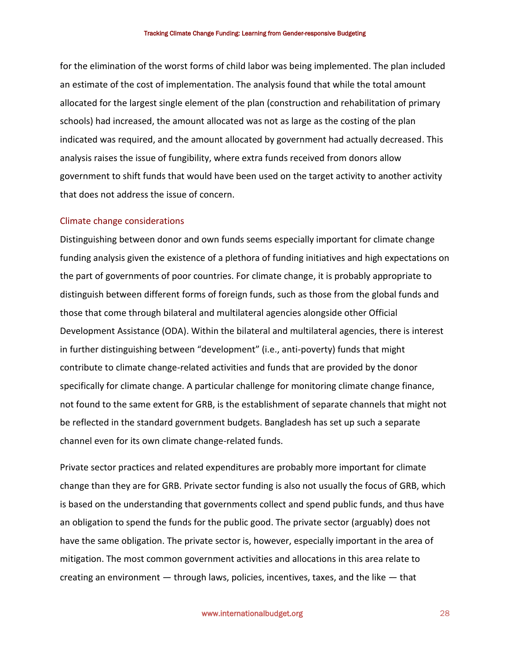for the elimination of the worst forms of child labor was being implemented. The plan included an estimate of the cost of implementation. The analysis found that while the total amount allocated for the largest single element of the plan (construction and rehabilitation of primary schools) had increased, the amount allocated was not as large as the costing of the plan indicated was required, and the amount allocated by government had actually decreased. This analysis raises the issue of fungibility, where extra funds received from donors allow government to shift funds that would have been used on the target activity to another activity that does not address the issue of concern.

#### Climate change considerations

Distinguishing between donor and own funds seems especially important for climate change funding analysis given the existence of a plethora of funding initiatives and high expectations on the part of governments of poor countries. For climate change, it is probably appropriate to distinguish between different forms of foreign funds, such as those from the global funds and those that come through bilateral and multilateral agencies alongside other Official Development Assistance (ODA). Within the bilateral and multilateral agencies, there is interest in further distinguishing between "development" (i.e., anti-poverty) funds that might contribute to climate change-related activities and funds that are provided by the donor specifically for climate change. A particular challenge for monitoring climate change finance, not found to the same extent for GRB, is the establishment of separate channels that might not be reflected in the standard government budgets. Bangladesh has set up such a separate channel even for its own climate change-related funds.

Private sector practices and related expenditures are probably more important for climate change than they are for GRB. Private sector funding is also not usually the focus of GRB, which is based on the understanding that governments collect and spend public funds, and thus have an obligation to spend the funds for the public good. The private sector (arguably) does not have the same obligation. The private sector is, however, especially important in the area of mitigation. The most common government activities and allocations in this area relate to creating an environment — through laws, policies, incentives, taxes, and the like — that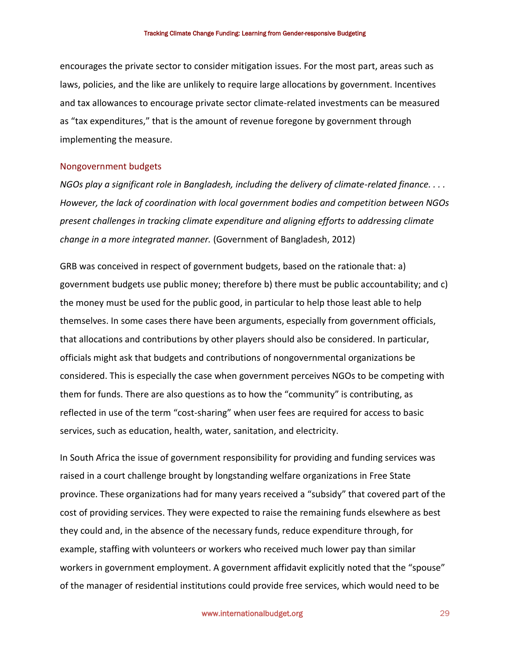encourages the private sector to consider mitigation issues. For the most part, areas such as laws, policies, and the like are unlikely to require large allocations by government. Incentives and tax allowances to encourage private sector climate-related investments can be measured as "tax expenditures," that is the amount of revenue foregone by government through implementing the measure.

#### Nongovernment budgets

*NGOs play a significant role in Bangladesh, including the delivery of climate-related finance. . . . However, the lack of coordination with local government bodies and competition between NGOs present challenges in tracking climate expenditure and aligning efforts to addressing climate change in a more integrated manner.* (Government of Bangladesh, 2012)

GRB was conceived in respect of government budgets, based on the rationale that: a) government budgets use public money; therefore b) there must be public accountability; and c) the money must be used for the public good, in particular to help those least able to help themselves. In some cases there have been arguments, especially from government officials, that allocations and contributions by other players should also be considered. In particular, officials might ask that budgets and contributions of nongovernmental organizations be considered. This is especially the case when government perceives NGOs to be competing with them for funds. There are also questions as to how the "community" is contributing, as reflected in use of the term "cost-sharing" when user fees are required for access to basic services, such as education, health, water, sanitation, and electricity.

In South Africa the issue of government responsibility for providing and funding services was raised in a court challenge brought by longstanding welfare organizations in Free State province. These organizations had for many years received a "subsidy" that covered part of the cost of providing services. They were expected to raise the remaining funds elsewhere as best they could and, in the absence of the necessary funds, reduce expenditure through, for example, staffing with volunteers or workers who received much lower pay than similar workers in government employment. A government affidavit explicitly noted that the "spouse" of the manager of residential institutions could provide free services, which would need to be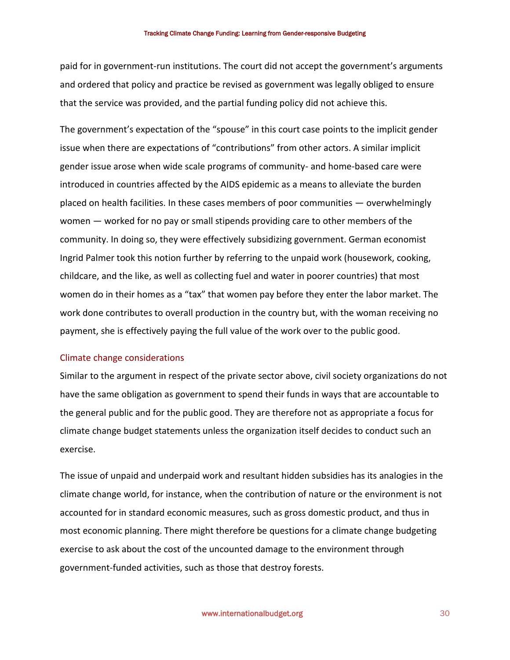paid for in government-run institutions. The court did not accept the government's arguments and ordered that policy and practice be revised as government was legally obliged to ensure that the service was provided, and the partial funding policy did not achieve this.

The government's expectation of the "spouse" in this court case points to the implicit gender issue when there are expectations of "contributions" from other actors. A similar implicit gender issue arose when wide scale programs of community- and home-based care were introduced in countries affected by the AIDS epidemic as a means to alleviate the burden placed on health facilities. In these cases members of poor communities — overwhelmingly women — worked for no pay or small stipends providing care to other members of the community. In doing so, they were effectively subsidizing government. German economist Ingrid Palmer took this notion further by referring to the unpaid work (housework, cooking, childcare, and the like, as well as collecting fuel and water in poorer countries) that most women do in their homes as a "tax" that women pay before they enter the labor market. The work done contributes to overall production in the country but, with the woman receiving no payment, she is effectively paying the full value of the work over to the public good.

### Climate change considerations

Similar to the argument in respect of the private sector above, civil society organizations do not have the same obligation as government to spend their funds in ways that are accountable to the general public and for the public good. They are therefore not as appropriate a focus for climate change budget statements unless the organization itself decides to conduct such an exercise.

The issue of unpaid and underpaid work and resultant hidden subsidies has its analogies in the climate change world, for instance, when the contribution of nature or the environment is not accounted for in standard economic measures, such as gross domestic product, and thus in most economic planning. There might therefore be questions for a climate change budgeting exercise to ask about the cost of the uncounted damage to the environment through government-funded activities, such as those that destroy forests.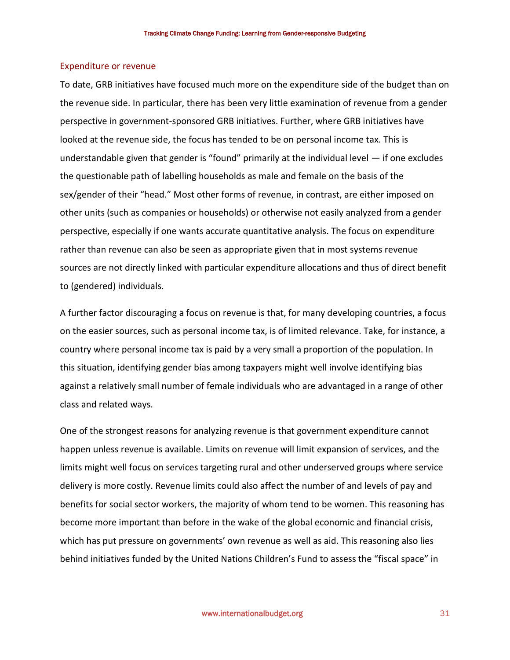#### Expenditure or revenue

To date, GRB initiatives have focused much more on the expenditure side of the budget than on the revenue side. In particular, there has been very little examination of revenue from a gender perspective in government-sponsored GRB initiatives. Further, where GRB initiatives have looked at the revenue side, the focus has tended to be on personal income tax. This is understandable given that gender is "found" primarily at the individual level — if one excludes the questionable path of labelling households as male and female on the basis of the sex/gender of their "head." Most other forms of revenue, in contrast, are either imposed on other units (such as companies or households) or otherwise not easily analyzed from a gender perspective, especially if one wants accurate quantitative analysis. The focus on expenditure rather than revenue can also be seen as appropriate given that in most systems revenue sources are not directly linked with particular expenditure allocations and thus of direct benefit to (gendered) individuals.

A further factor discouraging a focus on revenue is that, for many developing countries, a focus on the easier sources, such as personal income tax, is of limited relevance. Take, for instance, a country where personal income tax is paid by a very small a proportion of the population. In this situation, identifying gender bias among taxpayers might well involve identifying bias against a relatively small number of female individuals who are advantaged in a range of other class and related ways.

One of the strongest reasons for analyzing revenue is that government expenditure cannot happen unless revenue is available. Limits on revenue will limit expansion of services, and the limits might well focus on services targeting rural and other underserved groups where service delivery is more costly. Revenue limits could also affect the number of and levels of pay and benefits for social sector workers, the majority of whom tend to be women. This reasoning has become more important than before in the wake of the global economic and financial crisis, which has put pressure on governments' own revenue as well as aid. This reasoning also lies behind initiatives funded by the United Nations Children's Fund to assess the "fiscal space" in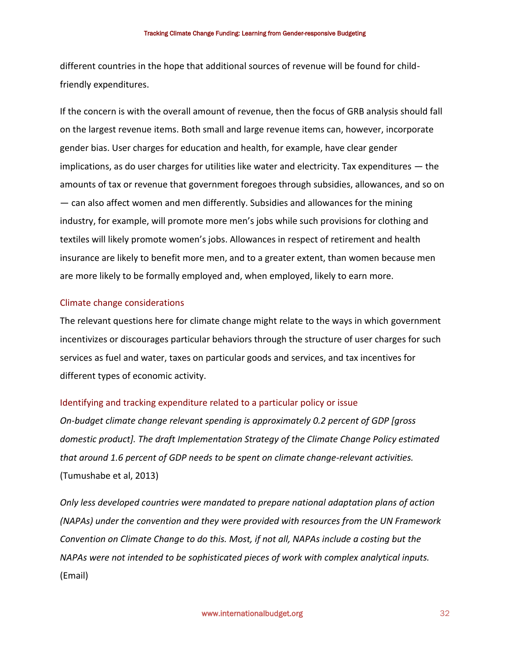different countries in the hope that additional sources of revenue will be found for childfriendly expenditures.

If the concern is with the overall amount of revenue, then the focus of GRB analysis should fall on the largest revenue items. Both small and large revenue items can, however, incorporate gender bias. User charges for education and health, for example, have clear gender implications, as do user charges for utilities like water and electricity. Tax expenditures — the amounts of tax or revenue that government foregoes through subsidies, allowances, and so on — can also affect women and men differently. Subsidies and allowances for the mining industry, for example, will promote more men's jobs while such provisions for clothing and textiles will likely promote women's jobs. Allowances in respect of retirement and health insurance are likely to benefit more men, and to a greater extent, than women because men are more likely to be formally employed and, when employed, likely to earn more.

### Climate change considerations

The relevant questions here for climate change might relate to the ways in which government incentivizes or discourages particular behaviors through the structure of user charges for such services as fuel and water, taxes on particular goods and services, and tax incentives for different types of economic activity.

#### Identifying and tracking expenditure related to a particular policy or issue

*On-budget climate change relevant spending is approximately 0.2 percent of GDP [gross domestic product]. The draft Implementation Strategy of the Climate Change Policy estimated that around 1.6 percent of GDP needs to be spent on climate change-relevant activities.*  (Tumushabe et al, 2013)

*Only less developed countries were mandated to prepare national adaptation plans of action (NAPAs) under the convention and they were provided with resources from the UN Framework Convention on Climate Change to do this. Most, if not all, NAPAs include a costing but the NAPAs were not intended to be sophisticated pieces of work with complex analytical inputs.*  (Email)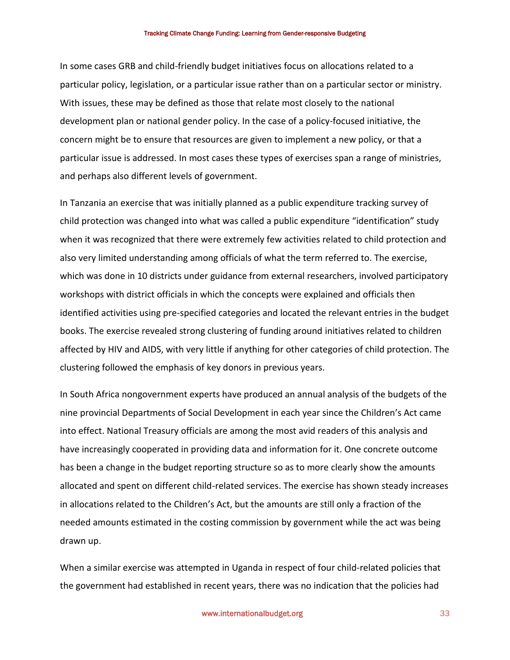#### Tracking Climate Change Funding: Learning from Gender-responsive Budgeting

In some cases GRB and child-friendly budget initiatives focus on allocations related to a particular policy, legislation, or a particular issue rather than on a particular sector or ministry. With issues, these may be defined as those that relate most closely to the national development plan or national gender policy. In the case of a policy-focused initiative, the concern might be to ensure that resources are given to implement a new policy, or that a particular issue is addressed. In most cases these types of exercises span a range of ministries, and perhaps also different levels of government.

In Tanzania an exercise that was initially planned as a public expenditure tracking survey of child protection was changed into what was called a public expenditure "identification" study when it was recognized that there were extremely few activities related to child protection and also very limited understanding among officials of what the term referred to. The exercise, which was done in 10 districts under guidance from external researchers, involved participatory workshops with district officials in which the concepts were explained and officials then identified activities using pre-specified categories and located the relevant entries in the budget books. The exercise revealed strong clustering of funding around initiatives related to children affected by HIV and AIDS, with very little if anything for other categories of child protection. The clustering followed the emphasis of key donors in previous years.

In South Africa nongovernment experts have produced an annual analysis of the budgets of the nine provincial Departments of Social Development in each year since the Children's Act came into effect. National Treasury officials are among the most avid readers of this analysis and have increasingly cooperated in providing data and information for it. One concrete outcome has been a change in the budget reporting structure so as to more clearly show the amounts allocated and spent on different child-related services. The exercise has shown steady increases in allocations related to the Children's Act, but the amounts are still only a fraction of the needed amounts estimated in the costing commission by government while the act was being drawn up.

When a similar exercise was attempted in Uganda in respect of four child-related policies that the government had established in recent years, there was no indication that the policies had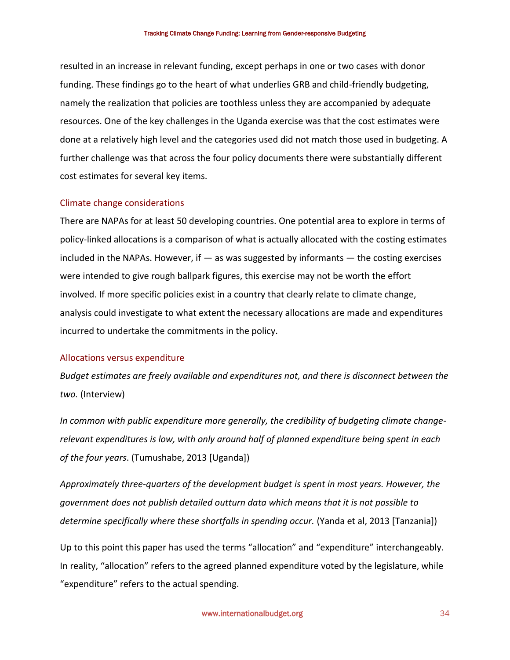resulted in an increase in relevant funding, except perhaps in one or two cases with donor funding. These findings go to the heart of what underlies GRB and child-friendly budgeting, namely the realization that policies are toothless unless they are accompanied by adequate resources. One of the key challenges in the Uganda exercise was that the cost estimates were done at a relatively high level and the categories used did not match those used in budgeting. A further challenge was that across the four policy documents there were substantially different cost estimates for several key items.

#### Climate change considerations

There are NAPAs for at least 50 developing countries. One potential area to explore in terms of policy-linked allocations is a comparison of what is actually allocated with the costing estimates included in the NAPAs. However, if  $-$  as was suggested by informants  $-$  the costing exercises were intended to give rough ballpark figures, this exercise may not be worth the effort involved. If more specific policies exist in a country that clearly relate to climate change, analysis could investigate to what extent the necessary allocations are made and expenditures incurred to undertake the commitments in the policy.

### Allocations versus expenditure

*Budget estimates are freely available and expenditures not, and there is disconnect between the two.* (Interview)

*In common with public expenditure more generally, the credibility of budgeting climate changerelevant expenditures is low, with only around half of planned expenditure being spent in each of the four years*. (Tumushabe, 2013 [Uganda])

*Approximately three-quarters of the development budget is spent in most years. However, the government does not publish detailed outturn data which means that it is not possible to determine specifically where these shortfalls in spending occur.* (Yanda et al, 2013 [Tanzania])

Up to this point this paper has used the terms "allocation" and "expenditure" interchangeably. In reality, "allocation" refers to the agreed planned expenditure voted by the legislature, while "expenditure" refers to the actual spending.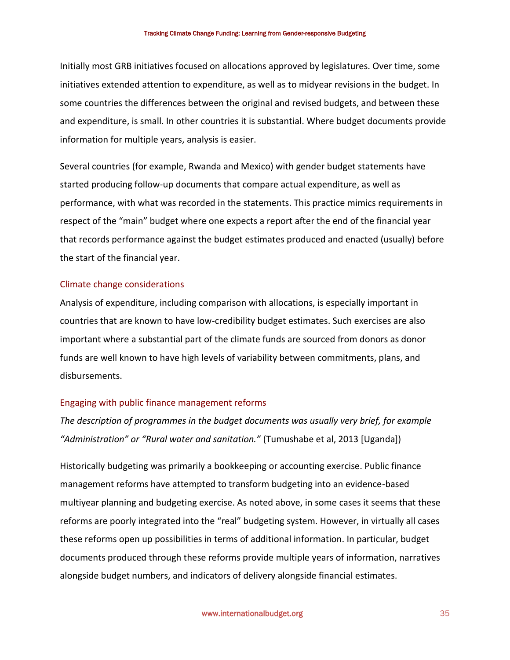Initially most GRB initiatives focused on allocations approved by legislatures. Over time, some initiatives extended attention to expenditure, as well as to midyear revisions in the budget. In some countries the differences between the original and revised budgets, and between these and expenditure, is small. In other countries it is substantial. Where budget documents provide information for multiple years, analysis is easier.

Several countries (for example, Rwanda and Mexico) with gender budget statements have started producing follow-up documents that compare actual expenditure, as well as performance, with what was recorded in the statements. This practice mimics requirements in respect of the "main" budget where one expects a report after the end of the financial year that records performance against the budget estimates produced and enacted (usually) before the start of the financial year.

#### Climate change considerations

Analysis of expenditure, including comparison with allocations, is especially important in countries that are known to have low-credibility budget estimates. Such exercises are also important where a substantial part of the climate funds are sourced from donors as donor funds are well known to have high levels of variability between commitments, plans, and disbursements.

#### Engaging with public finance management reforms

*The description of programmes in the budget documents was usually very brief, for example "Administration" or "Rural water and sanitation."* (Tumushabe et al, 2013 [Uganda])

Historically budgeting was primarily a bookkeeping or accounting exercise. Public finance management reforms have attempted to transform budgeting into an evidence-based multiyear planning and budgeting exercise. As noted above, in some cases it seems that these reforms are poorly integrated into the "real" budgeting system. However, in virtually all cases these reforms open up possibilities in terms of additional information. In particular, budget documents produced through these reforms provide multiple years of information, narratives alongside budget numbers, and indicators of delivery alongside financial estimates.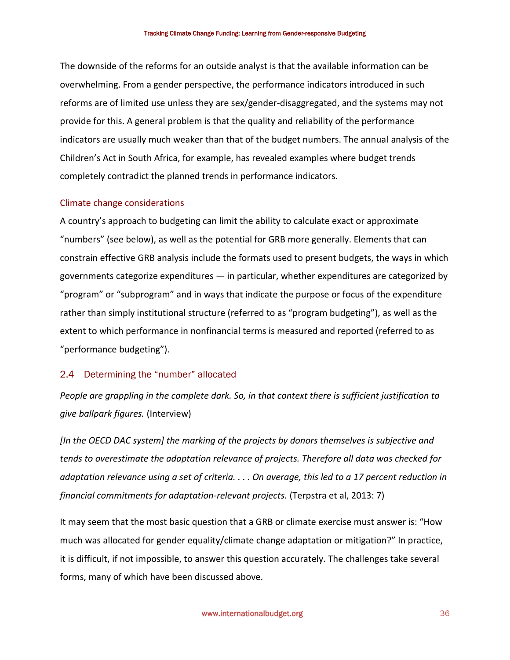The downside of the reforms for an outside analyst is that the available information can be overwhelming. From a gender perspective, the performance indicators introduced in such reforms are of limited use unless they are sex/gender-disaggregated, and the systems may not provide for this. A general problem is that the quality and reliability of the performance indicators are usually much weaker than that of the budget numbers. The annual analysis of the Children's Act in South Africa, for example, has revealed examples where budget trends completely contradict the planned trends in performance indicators.

## Climate change considerations

A country's approach to budgeting can limit the ability to calculate exact or approximate "numbers" (see below), as well as the potential for GRB more generally. Elements that can constrain effective GRB analysis include the formats used to present budgets, the ways in which governments categorize expenditures — in particular, whether expenditures are categorized by "program" or "subprogram" and in ways that indicate the purpose or focus of the expenditure rather than simply institutional structure (referred to as "program budgeting"), as well as the extent to which performance in nonfinancial terms is measured and reported (referred to as "performance budgeting").

## 2.4 Determining the "number" allocated

*People are grappling in the complete dark. So, in that context there is sufficient justification to give ballpark figures.* (Interview)

*[In the OECD DAC system] the marking of the projects by donors themselves is subjective and tends to overestimate the adaptation relevance of projects. Therefore all data was checked for adaptation relevance using a set of criteria. . . . On average, this led to a 17 percent reduction in financial commitments for adaptation-relevant projects.* (Terpstra et al, 2013: 7)

It may seem that the most basic question that a GRB or climate exercise must answer is: "How much was allocated for gender equality/climate change adaptation or mitigation?" In practice, it is difficult, if not impossible, to answer this question accurately. The challenges take several forms, many of which have been discussed above.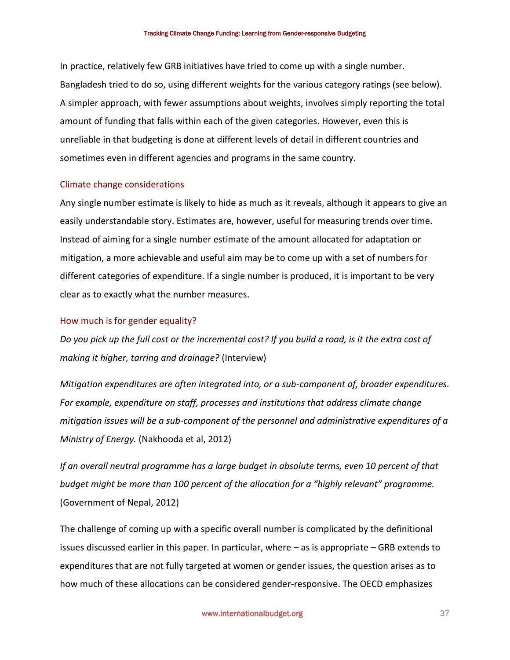In practice, relatively few GRB initiatives have tried to come up with a single number. Bangladesh tried to do so, using different weights for the various category ratings (see below). A simpler approach, with fewer assumptions about weights, involves simply reporting the total amount of funding that falls within each of the given categories. However, even this is unreliable in that budgeting is done at different levels of detail in different countries and sometimes even in different agencies and programs in the same country.

#### Climate change considerations

Any single number estimate is likely to hide as much as it reveals, although it appears to give an easily understandable story. Estimates are, however, useful for measuring trends over time. Instead of aiming for a single number estimate of the amount allocated for adaptation or mitigation, a more achievable and useful aim may be to come up with a set of numbers for different categories of expenditure. If a single number is produced, it is important to be very clear as to exactly what the number measures.

#### How much is for gender equality?

*Do you pick up the full cost or the incremental cost? If you build a road, is it the extra cost of making it higher, tarring and drainage?* (Interview)

*Mitigation expenditures are often integrated into, or a sub-component of, broader expenditures. For example, expenditure on staff, processes and institutions that address climate change mitigation issues will be a sub-component of the personnel and administrative expenditures of a Ministry of Energy.* (Nakhooda et al, 2012)

*If an overall neutral programme has a large budget in absolute terms, even 10 percent of that budget might be more than 100 percent of the allocation for a "highly relevant" programme.* (Government of Nepal, 2012)

The challenge of coming up with a specific overall number is complicated by the definitional issues discussed earlier in this paper. In particular, where – as is appropriate – GRB extends to expenditures that are not fully targeted at women or gender issues, the question arises as to how much of these allocations can be considered gender-responsive. The OECD emphasizes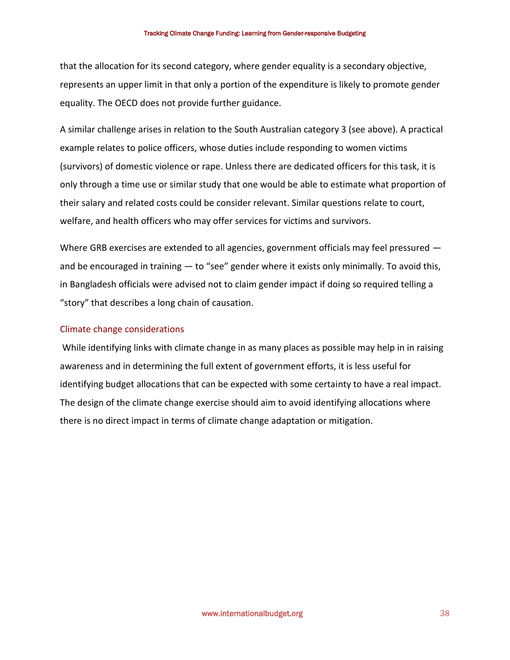that the allocation for its second category, where gender equality is a secondary objective, represents an upper limit in that only a portion of the expenditure is likely to promote gender equality. The OECD does not provide further guidance.

A similar challenge arises in relation to the South Australian category 3 (see above). A practical example relates to police officers, whose duties include responding to women victims (survivors) of domestic violence or rape. Unless there are dedicated officers for this task, it is only through a time use or similar study that one would be able to estimate what proportion of their salary and related costs could be consider relevant. Similar questions relate to court, welfare, and health officers who may offer services for victims and survivors.

Where GRB exercises are extended to all agencies, government officials may feel pressured  $$ and be encouraged in training  $-$  to "see" gender where it exists only minimally. To avoid this, in Bangladesh officials were advised not to claim gender impact if doing so required telling a "story" that describes a long chain of causation.

#### Climate change considerations

 While identifying links with climate change in as many places as possible may help in in raising awareness and in determining the full extent of government efforts, it is less useful for identifying budget allocations that can be expected with some certainty to have a real impact. The design of the climate change exercise should aim to avoid identifying allocations where there is no direct impact in terms of climate change adaptation or mitigation.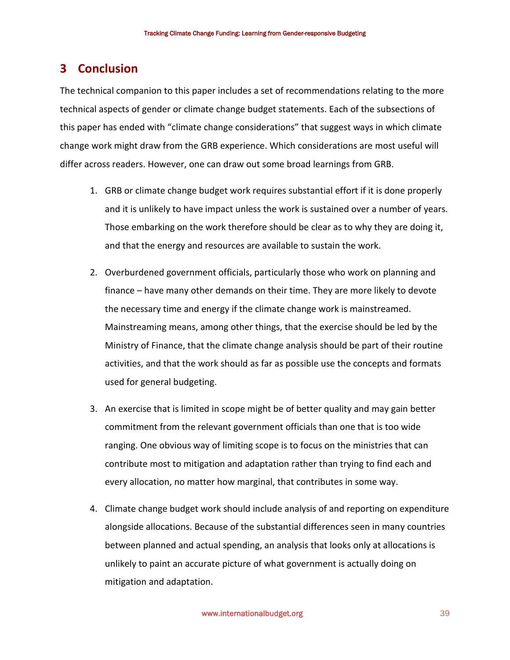# **3 Conclusion**

The technical companion to this paper includes a set of recommendations relating to the more technical aspects of gender or climate change budget statements. Each of the subsections of this paper has ended with "climate change considerations" that suggest ways in which climate change work might draw from the GRB experience. Which considerations are most useful will differ across readers. However, one can draw out some broad learnings from GRB.

- 1. GRB or climate change budget work requires substantial effort if it is done properly and it is unlikely to have impact unless the work is sustained over a number of years. Those embarking on the work therefore should be clear as to why they are doing it, and that the energy and resources are available to sustain the work.
- 2. Overburdened government officials, particularly those who work on planning and finance – have many other demands on their time. They are more likely to devote the necessary time and energy if the climate change work is mainstreamed. Mainstreaming means, among other things, that the exercise should be led by the Ministry of Finance, that the climate change analysis should be part of their routine activities, and that the work should as far as possible use the concepts and formats used for general budgeting.
- 3. An exercise that is limited in scope might be of better quality and may gain better commitment from the relevant government officials than one that is too wide ranging. One obvious way of limiting scope is to focus on the ministries that can contribute most to mitigation and adaptation rather than trying to find each and every allocation, no matter how marginal, that contributes in some way.
- 4. Climate change budget work should include analysis of and reporting on expenditure alongside allocations. Because of the substantial differences seen in many countries between planned and actual spending, an analysis that looks only at allocations is unlikely to paint an accurate picture of what government is actually doing on mitigation and adaptation.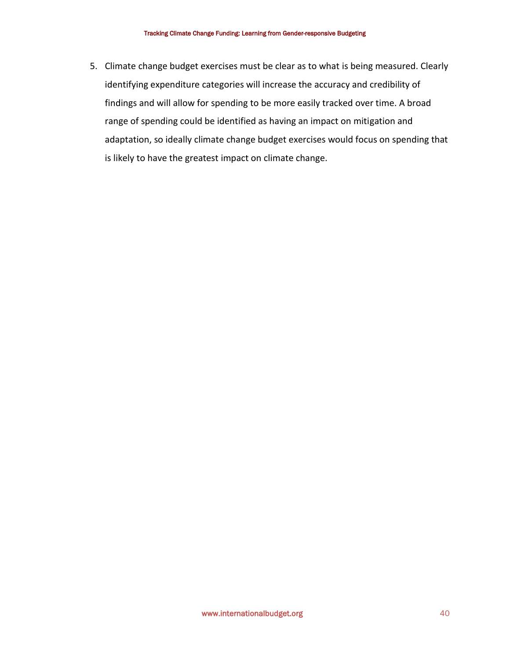5. Climate change budget exercises must be clear as to what is being measured. Clearly identifying expenditure categories will increase the accuracy and credibility of findings and will allow for spending to be more easily tracked over time. A broad range of spending could be identified as having an impact on mitigation and adaptation, so ideally climate change budget exercises would focus on spending that is likely to have the greatest impact on climate change.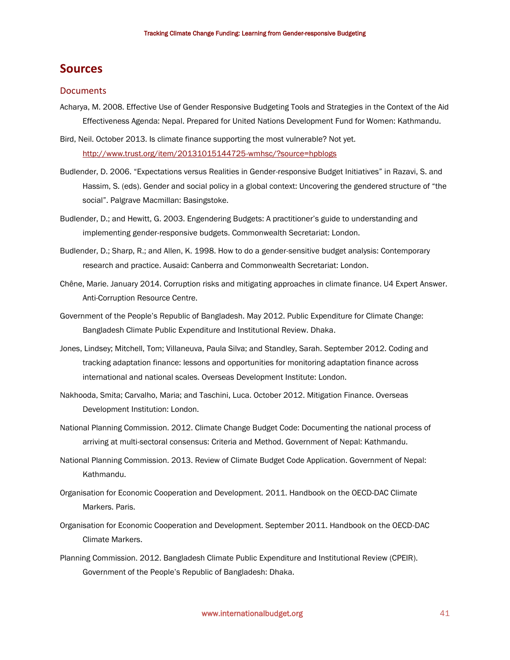# **Sources**

#### **Documents**

- Acharya, M. 2008. Effective Use of Gender Responsive Budgeting Tools and Strategies in the Context of the Aid Effectiveness Agenda: Nepal. Prepared for United Nations Development Fund for Women: Kathmandu.
- Bird, Neil. October 2013. Is climate finance supporting the most vulnerable? Not yet. <http://www.trust.org/item/20131015144725-wmhsc/?source=hpblogs>
- Budlender, D. 2006. "Expectations versus Realities in Gender-responsive Budget Initiatives" in Razavi, S. and Hassim, S. (eds). Gender and social policy in a global context: Uncovering the gendered structure of "the social". Palgrave Macmillan: Basingstoke.
- Budlender, D.; and Hewitt, G. 2003. Engendering Budgets: A practitioner's guide to understanding and implementing gender-responsive budgets. Commonwealth Secretariat: London.
- Budlender, D.; Sharp, R.; and Allen, K. 1998. How to do a gender-sensitive budget analysis: Contemporary research and practice. Ausaid: Canberra and Commonwealth Secretariat: London.
- Chêne, Marie. January 2014. Corruption risks and mitigating approaches in climate finance. U4 Expert Answer. Anti-Corruption Resource Centre.
- Government of the People's Republic of Bangladesh. May 2012. Public Expenditure for Climate Change: Bangladesh Climate Public Expenditure and Institutional Review. Dhaka.
- Jones, Lindsey; Mitchell, Tom; Villaneuva, Paula Silva; and Standley, Sarah. September 2012. Coding and tracking adaptation finance: lessons and opportunities for monitoring adaptation finance across international and national scales. Overseas Development Institute: London.
- Nakhooda, Smita; Carvalho, Maria; and Taschini, Luca. October 2012. Mitigation Finance. Overseas Development Institution: London.
- National Planning Commission. 2012. Climate Change Budget Code: Documenting the national process of arriving at multi-sectoral consensus: Criteria and Method. Government of Nepal: Kathmandu.
- National Planning Commission. 2013. Review of Climate Budget Code Application. Government of Nepal: Kathmandu.
- Organisation for Economic Cooperation and Development. 2011. Handbook on the OECD-DAC Climate Markers. Paris.
- Organisation for Economic Cooperation and Development. September 2011. Handbook on the OECD-DAC Climate Markers.
- Planning Commission. 2012. Bangladesh Climate Public Expenditure and Institutional Review (CPEIR). Government of the People's Republic of Bangladesh: Dhaka.